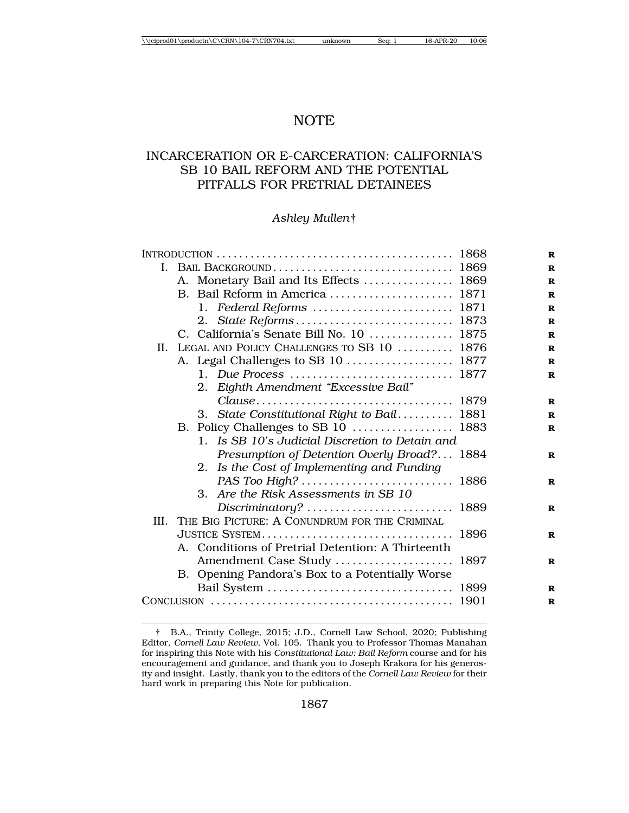# NOTE

# INCARCERATION OR E-CARCERATION: CALIFORNIA'S SB 10 BAIL REFORM AND THE POTENTIAL PITFALLS FOR PRETRIAL DETAINEES

### *Ashley Mullen*†

|     |                                            | A. Monetary Bail and Its Effects  1869             |  |
|-----|--------------------------------------------|----------------------------------------------------|--|
|     |                                            |                                                    |  |
|     |                                            | 1. Federal Reforms  1871                           |  |
|     |                                            |                                                    |  |
|     |                                            | C. California's Senate Bill No. 10  1875           |  |
| II. | LEGAL AND POLICY CHALLENGES TO SB 10  1876 |                                                    |  |
|     |                                            |                                                    |  |
|     |                                            |                                                    |  |
|     |                                            | 2. Eighth Amendment "Excessive Bail"               |  |
|     |                                            |                                                    |  |
|     |                                            | 3. State Constitutional Right to Bail 1881         |  |
|     |                                            |                                                    |  |
|     |                                            | 1. Is SB 10's Judicial Discretion to Detain and    |  |
|     |                                            | Presumption of Detention Overly Broad? 1884        |  |
|     |                                            | 2. Is the Cost of Implementing and Funding         |  |
|     |                                            |                                                    |  |
|     |                                            | Are the Risk Assessments in SB 10<br>$3_{-}$       |  |
|     |                                            |                                                    |  |
|     |                                            | III. THE BIG PICTURE: A CONUNDRUM FOR THE CRIMINAL |  |
|     |                                            |                                                    |  |
|     |                                            | A. Conditions of Pretrial Detention: A Thirteenth  |  |
|     |                                            | Amendment Case Study  1897                         |  |
|     |                                            | B. Opening Pandora's Box to a Potentially Worse    |  |
|     |                                            |                                                    |  |
|     |                                            |                                                    |  |

<sup>†</sup> B.A., Trinity College, 2015; J.D., Cornell Law School, 2020; Publishing Editor, *Cornell Law Review*, Vol. 105. Thank you to Professor Thomas Manahan for inspiring this Note with his *Constitutional Law: Bail Reform* course and for his encouragement and guidance, and thank you to Joseph Krakora for his generosity and insight. Lastly, thank you to the editors of the *Cornell Law Review* for their hard work in preparing this Note for publication.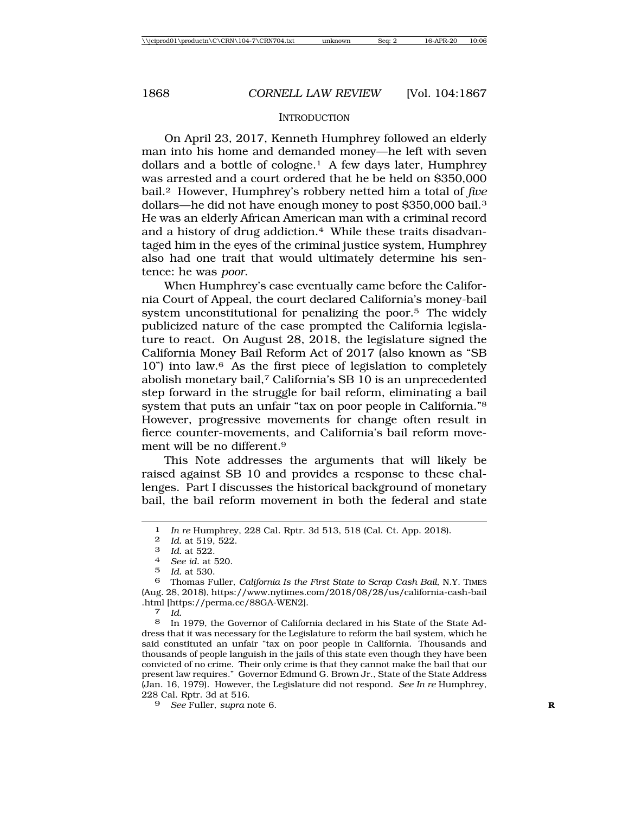#### **INTRODUCTION**

On April 23, 2017, Kenneth Humphrey followed an elderly man into his home and demanded money—he left with seven dollars and a bottle of cologne.1 A few days later, Humphrey was arrested and a court ordered that he be held on \$350,000 bail.2 However, Humphrey's robbery netted him a total of *five* dollars—he did not have enough money to post \$350,000 bail.3 He was an elderly African American man with a criminal record and a history of drug addiction.<sup>4</sup> While these traits disadvantaged him in the eyes of the criminal justice system, Humphrey also had one trait that would ultimately determine his sentence: he was *poor*.

When Humphrey's case eventually came before the California Court of Appeal, the court declared California's money-bail system unconstitutional for penalizing the poor.5 The widely publicized nature of the case prompted the California legislature to react. On August 28, 2018, the legislature signed the California Money Bail Reform Act of 2017 (also known as "SB 10") into law.6 As the first piece of legislation to completely abolish monetary bail,7 California's SB 10 is an unprecedented step forward in the struggle for bail reform, eliminating a bail system that puts an unfair "tax on poor people in California."8 However, progressive movements for change often result in fierce counter-movements, and California's bail reform movement will be no different.9

This Note addresses the arguments that will likely be raised against SB 10 and provides a response to these challenges. Part I discusses the historical background of monetary bail, the bail reform movement in both the federal and state

8 In 1979, the Governor of California declared in his State of the State Address that it was necessary for the Legislature to reform the bail system, which he said constituted an unfair "tax on poor people in California. Thousands and thousands of people languish in the jails of this state even though they have been convicted of no crime. Their only crime is that they cannot make the bail that our present law requires." Governor Edmund G. Brown Jr., State of the State Address (Jan. 16, 1979). However, the Legislature did not respond. *See In re* Humphrey, 228 Cal. Rptr. 3d at 516.

9 *See* Fuller, *supra* note 6. **R**

<sup>1</sup> *In re* Humphrey, 228 Cal. Rptr. 3d 513, 518 (Cal. Ct. App. 2018).

<sup>2</sup> *Id.* at 519, 522.<br>3 *Id.* at 522.

<sup>3</sup> *Id.* at 522. <sup>4</sup> *See id.* at 520.

<sup>5</sup> *Id.* at 530.

<sup>6</sup> Thomas Fuller, *California Is the First State to Scrap Cash Bail*, N.Y. TIMES (Aug. 28, 2018), https://www.nytimes.com/2018/08/28/us/california-cash-bail .html [https://perma.cc/88GA-WEN2]. <sup>7</sup> *Id.*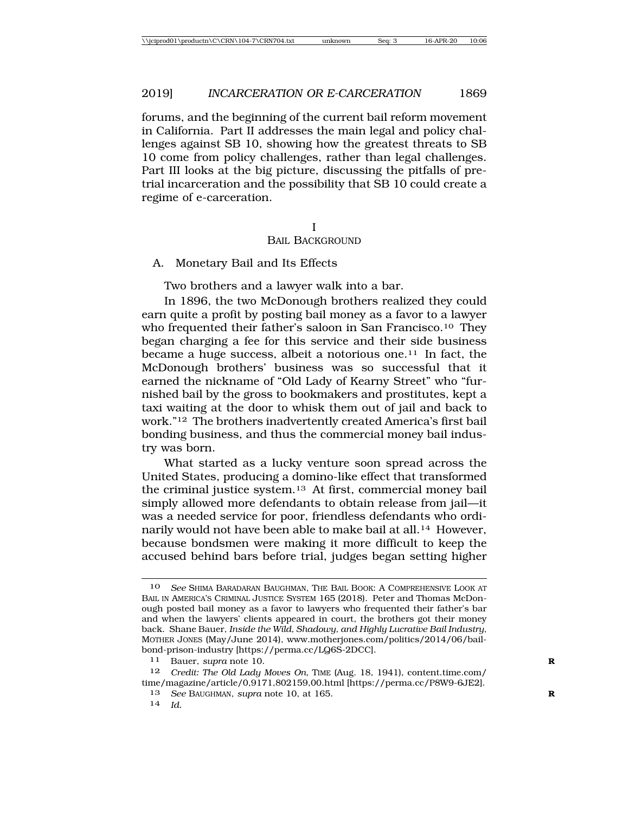forums, and the beginning of the current bail reform movement in California. Part II addresses the main legal and policy challenges against SB 10, showing how the greatest threats to SB 10 come from policy challenges, rather than legal challenges. Part III looks at the big picture, discussing the pitfalls of pretrial incarceration and the possibility that SB 10 could create a regime of e-carceration.

> I BAIL BACKGROUND

A. Monetary Bail and Its Effects

Two brothers and a lawyer walk into a bar.

In 1896, the two McDonough brothers realized they could earn quite a profit by posting bail money as a favor to a lawyer who frequented their father's saloon in San Francisco.<sup>10</sup> They began charging a fee for this service and their side business became a huge success, albeit a notorious one.11 In fact, the McDonough brothers' business was so successful that it earned the nickname of "Old Lady of Kearny Street" who "furnished bail by the gross to bookmakers and prostitutes, kept a taxi waiting at the door to whisk them out of jail and back to work."12 The brothers inadvertently created America's first bail bonding business, and thus the commercial money bail industry was born.

What started as a lucky venture soon spread across the United States, producing a domino-like effect that transformed the criminal justice system.13 At first, commercial money bail simply allowed more defendants to obtain release from jail—it was a needed service for poor, friendless defendants who ordinarily would not have been able to make bail at all.<sup>14</sup> However, because bondsmen were making it more difficult to keep the accused behind bars before trial, judges began setting higher

<sup>10</sup> *See* SHIMA BARADARAN BAUGHMAN, THE BAIL BOOK: A COMPREHENSIVE LOOK AT BAIL IN AMERICA'S CRIMINAL JUSTICE SYSTEM 165 (2018). Peter and Thomas McDonough posted bail money as a favor to lawyers who frequented their father's bar and when the lawyers' clients appeared in court, the brothers got their money back. Shane Bauer, *Inside the Wild, Shadowy, and Highly Lucrative Bail Industry*, MOTHER JONES (May/June 2014), www.motherjones.com/politics/2014/06/bailbond-prison-industry [https://perma.cc/LQ6S-2DCC].

<sup>11</sup> Bauer, *supra* note 10.

<sup>12</sup> *Credit: The Old Lady Moves On*, TIME (Aug. 18, 1941), content.time.com/ time/magazine/article/0,9171,802159,00.html [https://perma.cc/P8W9-6JE2].

<sup>13</sup> *See* BAUGHMAN, *supra* note 10, at 165. **R**

<sup>14</sup> *Id.*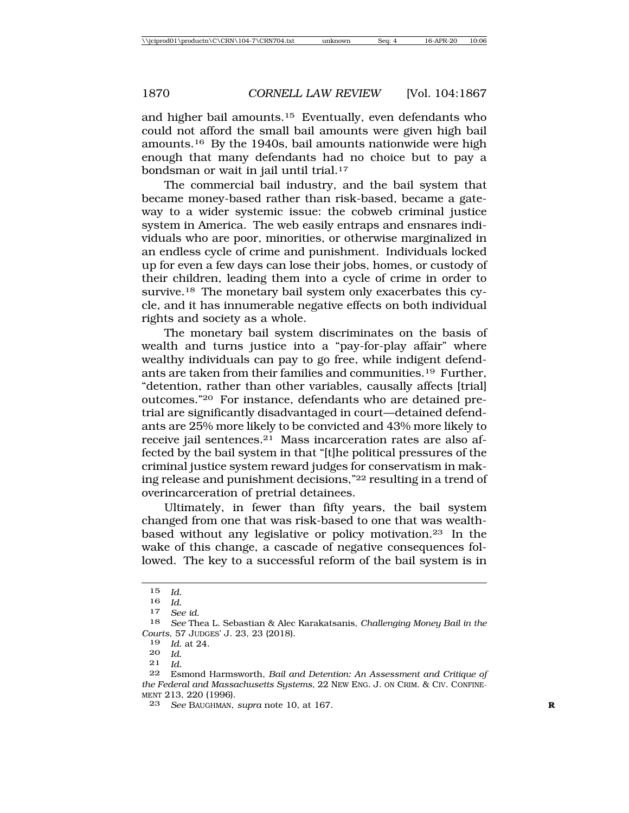and higher bail amounts.15 Eventually, even defendants who could not afford the small bail amounts were given high bail amounts.16 By the 1940s, bail amounts nationwide were high enough that many defendants had no choice but to pay a bondsman or wait in jail until trial.<sup>17</sup>

The commercial bail industry, and the bail system that became money-based rather than risk-based, became a gateway to a wider systemic issue: the cobweb criminal justice system in America. The web easily entraps and ensnares individuals who are poor, minorities, or otherwise marginalized in an endless cycle of crime and punishment. Individuals locked up for even a few days can lose their jobs, homes, or custody of their children, leading them into a cycle of crime in order to survive.<sup>18</sup> The monetary bail system only exacerbates this cycle, and it has innumerable negative effects on both individual rights and society as a whole.

The monetary bail system discriminates on the basis of wealth and turns justice into a "pay-for-play affair" where wealthy individuals can pay to go free, while indigent defendants are taken from their families and communities.19 Further, "detention, rather than other variables, causally affects [trial] outcomes."20 For instance, defendants who are detained pretrial are significantly disadvantaged in court—detained defendants are 25% more likely to be convicted and 43% more likely to receive jail sentences.21 Mass incarceration rates are also affected by the bail system in that "[t]he political pressures of the criminal justice system reward judges for conservatism in making release and punishment decisions,"22 resulting in a trend of overincarceration of pretrial detainees.

Ultimately, in fewer than fifty years, the bail system changed from one that was risk-based to one that was wealthbased without any legislative or policy motivation.23 In the wake of this change, a cascade of negative consequences followed. The key to a successful reform of the bail system is in

<sup>15</sup> *Id.*

<sup>16</sup> *Id.* <sup>17</sup> *See id.*

<sup>18</sup> *See* Thea L. Sebastian & Alec Karakatsanis, *Challenging Money Bail in the Courts*, 57 JUDGES' J. 23, 23 (2018).

<sup>19</sup> *Id.* at 24.

<sup>20</sup> *Id.*

 $\frac{21}{22}$  *Id.* 

<sup>22</sup> Esmond Harmsworth, *Bail and Detention: An Assessment and Critique of the Federal and Massachusetts Systems*, 22 NEW ENG. J. ON CRIM. & CIV. CONFINE-MENT 213, 220 (1996).

<sup>23</sup> *See* BAUGHMAN, *supra* note 10, at 167. **R**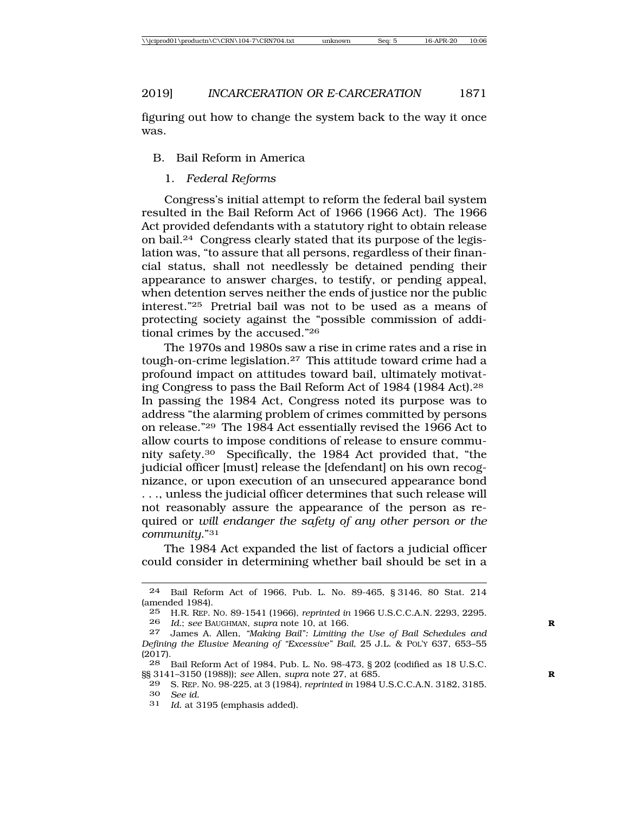figuring out how to change the system back to the way it once was.

### B. Bail Reform in America

1. *Federal Reforms*

Congress's initial attempt to reform the federal bail system resulted in the Bail Reform Act of 1966 (1966 Act). The 1966 Act provided defendants with a statutory right to obtain release on bail.24 Congress clearly stated that its purpose of the legislation was, "to assure that all persons, regardless of their financial status, shall not needlessly be detained pending their appearance to answer charges, to testify, or pending appeal, when detention serves neither the ends of justice nor the public interest."25 Pretrial bail was not to be used as a means of protecting society against the "possible commission of additional crimes by the accused."26

The 1970s and 1980s saw a rise in crime rates and a rise in tough-on-crime legislation.27 This attitude toward crime had a profound impact on attitudes toward bail, ultimately motivating Congress to pass the Bail Reform Act of 1984 (1984 Act).28 In passing the 1984 Act, Congress noted its purpose was to address "the alarming problem of crimes committed by persons on release."29 The 1984 Act essentially revised the 1966 Act to allow courts to impose conditions of release to ensure community safety.30 Specifically, the 1984 Act provided that, "the judicial officer [must] release the [defendant] on his own recognizance, or upon execution of an unsecured appearance bond . . ., unless the judicial officer determines that such release will not reasonably assure the appearance of the person as required or *will endanger the safety of any other person or the community*."31

The 1984 Act expanded the list of factors a judicial officer could consider in determining whether bail should be set in a

<sup>24</sup> Bail Reform Act of 1966, Pub. L. No. 89-465, § 3146, 80 Stat. 214 (amended 1984).

<sup>25</sup> H.R. REP. NO. 89-1541 (1966), *reprinted in* 1966 U.S.C.C.A.N. 2293, 2295.

<sup>26</sup> *Id.*; *see* BAUGHMAN, *supra* note 10, at 166. **R**

<sup>27</sup> James A. Allen, *"Making Bail": Limiting the Use of Bail Schedules and Defining the Elusive Meaning of "Excessive" Bail*, 25 J.L. & POL'Y 637, 653–55 (2017).

<sup>28</sup> Bail Reform Act of 1984, Pub. L. No. 98-473, § 202 (codified as 18 U.S.C. §§ 3141–3150 (1988)); *see* Allen, *supra* note 27, at 685. **R**

<sup>29</sup> S. REP. NO. 98-225, at 3 (1984), *reprinted in* 1984 U.S.C.C.A.N. 3182, 3185. 30 *See id.*

Id. at 3195 (emphasis added).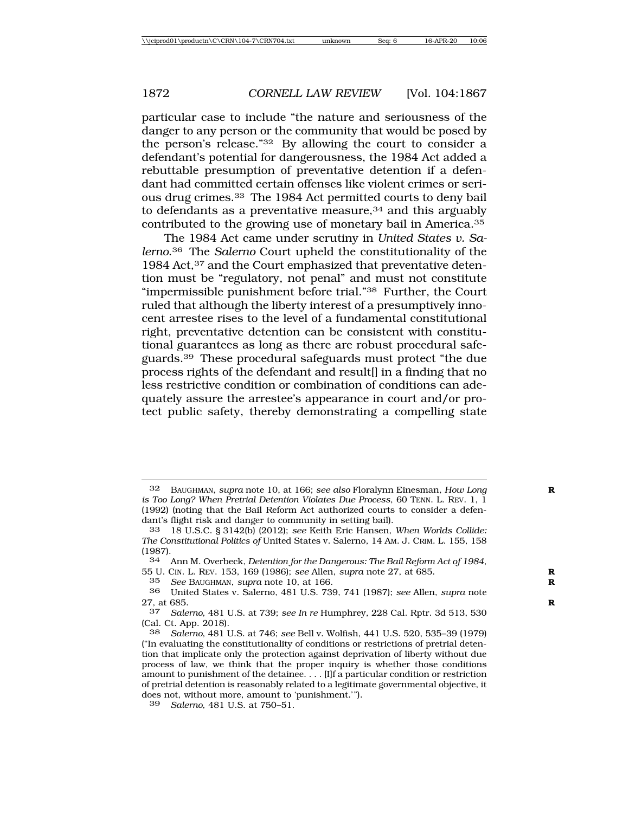particular case to include "the nature and seriousness of the danger to any person or the community that would be posed by the person's release."32 By allowing the court to consider a defendant's potential for dangerousness, the 1984 Act added a rebuttable presumption of preventative detention if a defendant had committed certain offenses like violent crimes or serious drug crimes.33 The 1984 Act permitted courts to deny bail to defendants as a preventative measure, $34$  and this arguably contributed to the growing use of monetary bail in America.35

The 1984 Act came under scrutiny in *United States v. Salerno*.36 The *Salerno* Court upheld the constitutionality of the 1984 Act,<sup>37</sup> and the Court emphasized that preventative detention must be "regulatory, not penal" and must not constitute "impermissible punishment before trial."38 Further, the Court ruled that although the liberty interest of a presumptively innocent arrestee rises to the level of a fundamental constitutional right, preventative detention can be consistent with constitutional guarantees as long as there are robust procedural safeguards.39 These procedural safeguards must protect "the due process rights of the defendant and result[] in a finding that no less restrictive condition or combination of conditions can adequately assure the arrestee's appearance in court and/or protect public safety, thereby demonstrating a compelling state

<sup>32</sup> BAUGHMAN, *supra* note 10, at 166; *see also* Floralynn Einesman, *How Long* **R** *is Too Long? When Pretrial Detention Violates Due Process*, 60 TENN. L. REV. 1, 1 (1992) (noting that the Bail Reform Act authorized courts to consider a defendant's flight risk and danger to community in setting bail).

<sup>33</sup> 18 U.S.C. § 3142(b) (2012); *see* Keith Eric Hansen, *When Worlds Collide: The Constitutional Politics of* United States v. Salerno, 14 AM. J. CRIM. L. 155, 158 (1987).

<sup>34</sup> Ann M. Overbeck, *Detention for the Dangerous: The Bail Reform Act of 1984*, 55 U. CIN. L. REV. 153, 169 (1986); *see* Allen, *supra* note 27, at 685. **R**

<sup>35</sup> *See* BAUGHMAN, *supra* note 10, at 166. **R**

<sup>36</sup> United States v. Salerno, 481 U.S. 739, 741 (1987); *see* Allen, *supra* note 27, at 685. **R**

<sup>37</sup> *Salerno*, 481 U.S. at 739; *see In re* Humphrey, 228 Cal. Rptr. 3d 513, 530 (Cal. Ct. App. 2018).

<sup>38</sup> *Salerno*, 481 U.S. at 746; *see* Bell v. Wolfish, 441 U.S. 520, 535–39 (1979) ("In evaluating the constitutionality of conditions or restrictions of pretrial detention that implicate only the protection against deprivation of liberty without due process of law, we think that the proper inquiry is whether those conditions amount to punishment of the detainee. . . . [I]f a particular condition or restriction of pretrial detention is reasonably related to a legitimate governmental objective, it does not, without more, amount to 'punishment.'").<br>39 Salerno 481 U.S. at 750–51

<sup>39</sup> *Salerno*, 481 U.S. at 750–51.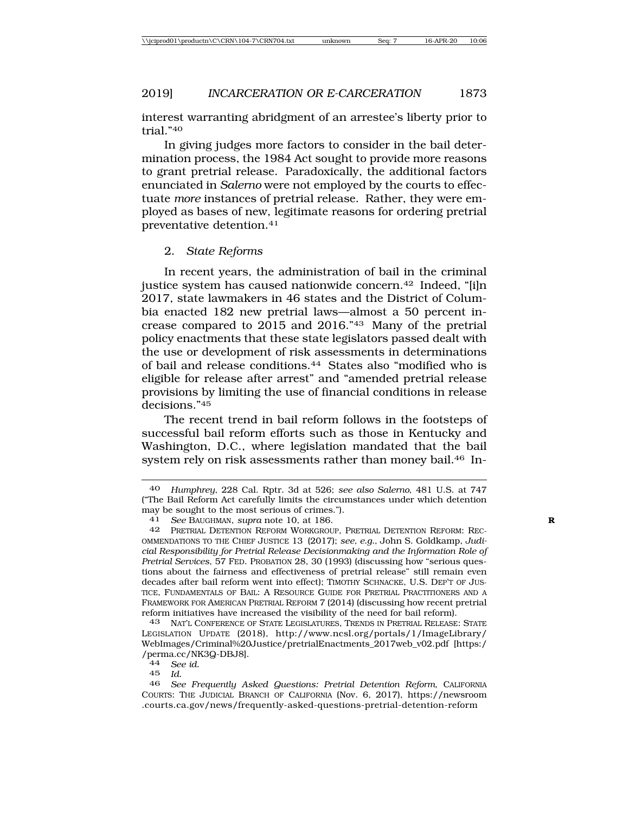interest warranting abridgment of an arrestee's liberty prior to trial."40

In giving judges more factors to consider in the bail determination process, the 1984 Act sought to provide more reasons to grant pretrial release. Paradoxically, the additional factors enunciated in *Salerno* were not employed by the courts to effectuate *more* instances of pretrial release. Rather, they were employed as bases of new, legitimate reasons for ordering pretrial preventative detention.41

### 2. *State Reforms*

In recent years, the administration of bail in the criminal justice system has caused nationwide concern.<sup>42</sup> Indeed, "[i]n 2017, state lawmakers in 46 states and the District of Columbia enacted 182 new pretrial laws—almost a 50 percent increase compared to 2015 and 2016."43 Many of the pretrial policy enactments that these state legislators passed dealt with the use or development of risk assessments in determinations of bail and release conditions.44 States also "modified who is eligible for release after arrest" and "amended pretrial release provisions by limiting the use of financial conditions in release decisions."45

The recent trend in bail reform follows in the footsteps of successful bail reform efforts such as those in Kentucky and Washington, D.C., where legislation mandated that the bail system rely on risk assessments rather than money bail.46 In-

43 NAT'L CONFERENCE OF STATE LEGISLATURES, TRENDS IN PRETRIAL RELEASE: STATE LEGISLATION UPDATE (2018), http://www.ncsl.org/portals/1/ImageLibrary/ WebImages/Criminal%20Justice/pretrialEnactments\_2017web\_v02.pdf [https:/ /perma.cc/NK3Q-DBJ8].

44 *See id.*

45 *Id.*

46 *See Frequently Asked Questions: Pretrial Detention Reform*, CALIFORNIA COURTS: THE JUDICIAL BRANCH OF CALIFORNIA (Nov. 6, 2017), https://newsroom .courts.ca.gov/news/frequently-asked-questions-pretrial-detention-reform

<sup>40</sup> *Humphrey*, 228 Cal. Rptr. 3d at 526; *see also Salerno*, 481 U.S. at 747 ("The Bail Reform Act carefully limits the circumstances under which detention may be sought to the most serious of crimes.").<br> $41$  See BAUCHMAN, supra pote 10, at 186

See BAUGHMAN, *supra* note 10, at 186.

<sup>42</sup> PRETRIAL DETENTION REFORM WORKGROUP, PRETRIAL DETENTION REFORM: REC-OMMENDATIONS TO THE CHIEF JUSTICE 13 (2017); *see, e.g.*, John S. Goldkamp, *Judicial Responsibility for Pretrial Release Decisionmaking and the Information Role of Pretrial Services*, 57 FED. PROBATION 28, 30 (1993) (discussing how "serious questions about the fairness and effectiveness of pretrial release" still remain even decades after bail reform went into effect); TIMOTHY SCHNACKE, U.S. DEP'T OF JUS-TICE, FUNDAMENTALS OF BAIL: A RESOURCE GUIDE FOR PRETRIAL PRACTITIONERS AND A FRAMEWORK FOR AMERICAN PRETRIAL REFORM 7 (2014) (discussing how recent pretrial reform initiatives have increased the visibility of the need for bail reform).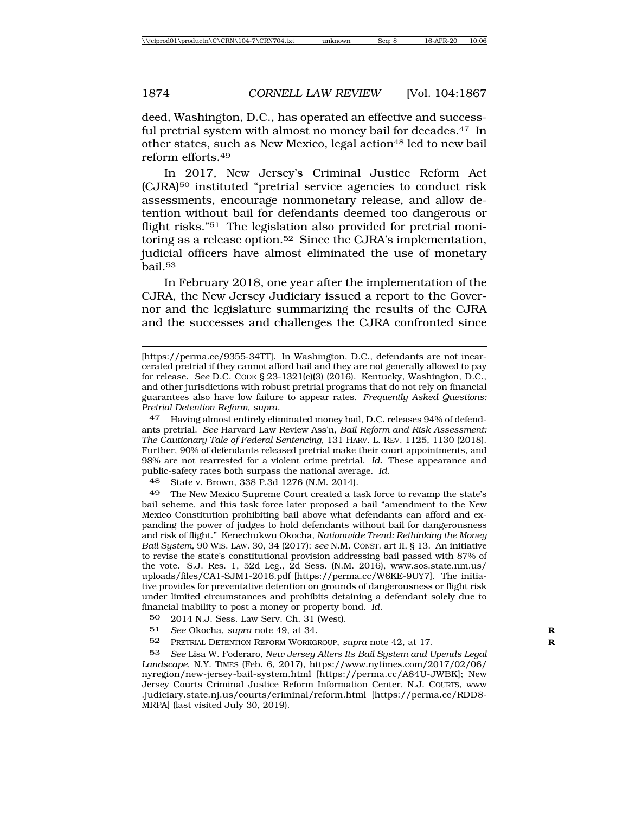deed, Washington, D.C., has operated an effective and successful pretrial system with almost no money bail for decades.<sup>47</sup> In other states, such as New Mexico, legal action<sup>48</sup> led to new bail reform efforts.49

In 2017, New Jersey's Criminal Justice Reform Act (CJRA)50 instituted "pretrial service agencies to conduct risk assessments, encourage nonmonetary release, and allow detention without bail for defendants deemed too dangerous or flight risks."51 The legislation also provided for pretrial monitoring as a release option.<sup>52</sup> Since the CJRA's implementation, judicial officers have almost eliminated the use of monetary bail.53

In February 2018, one year after the implementation of the CJRA, the New Jersey Judiciary issued a report to the Governor and the legislature summarizing the results of the CJRA and the successes and challenges the CJRA confronted since

47 Having almost entirely eliminated money bail, D.C. releases 94% of defendants pretrial. *See* Harvard Law Review Ass'n, *Bail Reform and Risk Assessment: The Cautionary Tale of Federal Sentencing*, 131 HARV. L. REV. 1125, 1130 (2018). Further, 90% of defendants released pretrial make their court appointments, and 98% are not rearrested for a violent crime pretrial. *Id.* These appearance and public-safety rates both surpass the national average. *Id.*

48 State v. Brown, 338 P.3d 1276 (N.M. 2014).

49 The New Mexico Supreme Court created a task force to revamp the state's bail scheme, and this task force later proposed a bail "amendment to the New Mexico Constitution prohibiting bail above what defendants can afford and expanding the power of judges to hold defendants without bail for dangerousness and risk of flight." Kenechukwu Okocha, *Nationwide Trend: Rethinking the Money Bail System*, 90 WIS. LAW. 30, 34 (2017); *see* N.M. CONST. art II, § 13. An initiative to revise the state's constitutional provision addressing bail passed with 87% of the vote. S.J. Res. 1, 52d Leg., 2d Sess. (N.M. 2016), www.sos.state.nm.us/ uploads/files/CA1-SJM1-2016.pdf [https://perma.cc/W6KE-9UY7]. The initiative provides for preventative detention on grounds of dangerousness or flight risk under limited circumstances and prohibits detaining a defendant solely due to financial inability to post a money or property bond. *Id.*

- 50 2014 N.J. Sess. Law Serv. Ch. 31 (West).
- 51 *See* Okocha, *supra* note 49, at 34. **R**
- 52 PRETRIAL DETENTION REFORM WORKGROUP*, supra* note 42, at 17. **R**

53 *See* Lisa W. Foderaro, *New Jersey Alters Its Bail System and Upends Legal Landscape*, N.Y. TIMES (Feb. 6, 2017), https://www.nytimes.com/2017/02/06/ nyregion/new-jersey-bail-system.html [https://perma.cc/A84U-JWBK]; New Jersey Courts Criminal Justice Reform Information Center, N.J. COURTS, www .judiciary.state.nj.us/courts/criminal/reform.html [https://perma.cc/RDD8- MRPA] (last visited July 30, 2019).

<sup>[</sup>https://perma.cc/9355-34TT]. In Washington, D.C., defendants are not incarcerated pretrial if they cannot afford bail and they are not generally allowed to pay for release. *See* D.C. CODE § 23-1321(c)(3) (2016). Kentucky, Washington, D.C., and other jurisdictions with robust pretrial programs that do not rely on financial guarantees also have low failure to appear rates. *Frequently Asked Questions: Pretrial Detention Reform, supra.*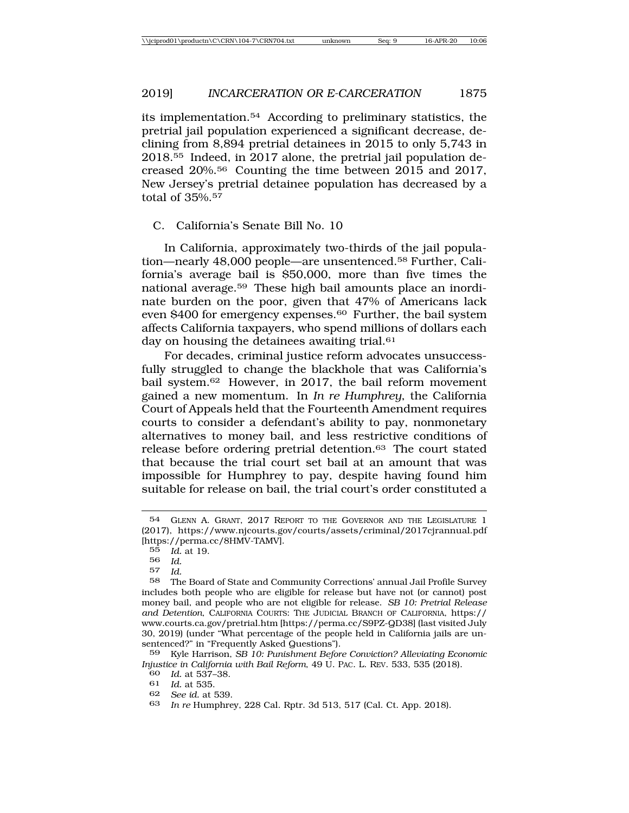2019] *INCARCERATION OR E-CARCERATION* 1875

its implementation.54 According to preliminary statistics, the pretrial jail population experienced a significant decrease, declining from 8,894 pretrial detainees in 2015 to only 5,743 in 2018.55 Indeed, in 2017 alone, the pretrial jail population decreased 20%.56 Counting the time between 2015 and 2017, New Jersey's pretrial detainee population has decreased by a total of 35%.57

### C. California's Senate Bill No. 10

In California, approximately two-thirds of the jail population—nearly 48,000 people—are unsentenced.58 Further, California's average bail is \$50,000, more than five times the national average.59 These high bail amounts place an inordinate burden on the poor, given that 47% of Americans lack even \$400 for emergency expenses.<sup>60</sup> Further, the bail system affects California taxpayers, who spend millions of dollars each day on housing the detainees awaiting trial.<sup>61</sup>

For decades, criminal justice reform advocates unsuccessfully struggled to change the blackhole that was California's bail system.62 However, in 2017, the bail reform movement gained a new momentum. In *In re Humphrey*, the California Court of Appeals held that the Fourteenth Amendment requires courts to consider a defendant's ability to pay, nonmonetary alternatives to money bail, and less restrictive conditions of release before ordering pretrial detention.63 The court stated that because the trial court set bail at an amount that was impossible for Humphrey to pay, despite having found him suitable for release on bail, the trial court's order constituted a

59 Kyle Harrison, *SB 10: Punishment Before Conviction? Alleviating Economic Injustice in California with Bail Reform*, 49 U. PAC. L. REV. 533, 535 (2018).

<sup>54</sup> GLENN A. GRANT, 2017 REPORT TO THE GOVERNOR AND THE LEGISLATURE 1 (2017), https://www.njcourts.gov/courts/assets/criminal/2017cjrannual.pdf [https://perma.cc/8HMV-TAMV].

<sup>55</sup> *Id.* at 19.

<sup>56</sup> *Id.*

<sup>57</sup> *Id.*

The Board of State and Community Corrections' annual Jail Profile Survey includes both people who are eligible for release but have not (or cannot) post money bail, and people who are not eligible for release. *SB 10: Pretrial Release and Detention*, CALIFORNIA COURTS: THE JUDICIAL BRANCH OF CALIFORNIA, https:// www.courts.ca.gov/pretrial.htm [https://perma.cc/S9PZ-QD38] (last visited July 30, 2019) (under "What percentage of the people held in California jails are unsentenced?" in "Frequently Asked Questions").

<sup>60</sup> *Id.* at 537–38. 61 *Id.* at 535.

<sup>62</sup> *See id.* at 539.

<sup>63</sup> *In re* Humphrey, 228 Cal. Rptr. 3d 513, 517 (Cal. Ct. App. 2018).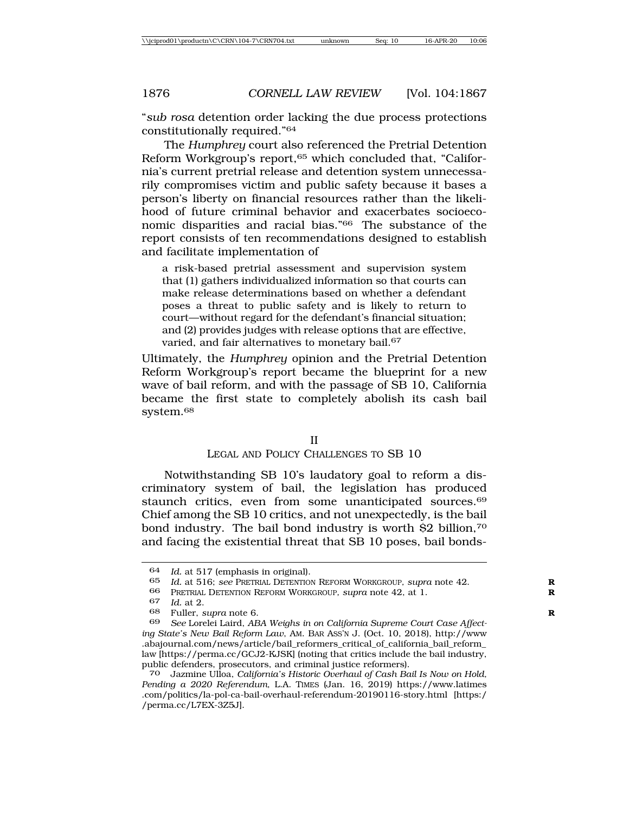"*sub rosa* detention order lacking the due process protections constitutionally required."64

The *Humphrey* court also referenced the Pretrial Detention Reform Workgroup's report,<sup>65</sup> which concluded that, "California's current pretrial release and detention system unnecessarily compromises victim and public safety because it bases a person's liberty on financial resources rather than the likelihood of future criminal behavior and exacerbates socioeconomic disparities and racial bias."66 The substance of the report consists of ten recommendations designed to establish and facilitate implementation of

a risk-based pretrial assessment and supervision system that (1) gathers individualized information so that courts can make release determinations based on whether a defendant poses a threat to public safety and is likely to return to court—without regard for the defendant's financial situation; and (2) provides judges with release options that are effective, varied, and fair alternatives to monetary bail.<sup>67</sup>

Ultimately, the *Humphrey* opinion and the Pretrial Detention Reform Workgroup's report became the blueprint for a new wave of bail reform, and with the passage of SB 10, California became the first state to completely abolish its cash bail system.68

#### II

### LEGAL AND POLICY CHALLENGES TO SB 10

Notwithstanding SB 10's laudatory goal to reform a discriminatory system of bail, the legislation has produced staunch critics, even from some unanticipated sources.69 Chief among the SB 10 critics, and not unexpectedly, is the bail bond industry. The bail bond industry is worth \$2 billion,70 and facing the existential threat that SB 10 poses, bail bonds-

<sup>64</sup> *Id.* at 517 (emphasis in original).<br>65 *Id.* at 516: see PRETRIAL DETENTIOL

<sup>65</sup> *Id.* at 516; *see* PRETRIAL DETENTION REFORM WORKGROUP*, supra* note 42. **R**

<sup>66</sup> PRETRIAL DETENTION REFORM WORKGROUP*, supra* note 42, at 1. **R**

<sup>67</sup> *Id.* at 2.

<sup>68</sup> Fuller, *supra* note 6. **R**

<sup>69</sup> *See* Lorelei Laird, *ABA Weighs in on California Supreme Court Case Affecting State's New Bail Reform Law*, AM. BAR ASS'N J. (Oct. 10, 2018), http://www .abajournal.com/news/article/bail\_reformers\_critical\_of\_california\_bail\_reform\_ law [https://perma.cc/GCJ2-KJSK] (noting that critics include the bail industry, public defenders, prosecutors, and criminal justice reformers).

<sup>70</sup> Jazmine Ulloa, *California's Historic Overhaul of Cash Bail Is Now on Hold, Pending a 2020 Referendum*, L.A. TIMES (Jan. 16, 2019) https://www.latimes .com/politics/la-pol-ca-bail-overhaul-referendum-20190116-story.html [https:/ /perma.cc/L7EX-3Z5J].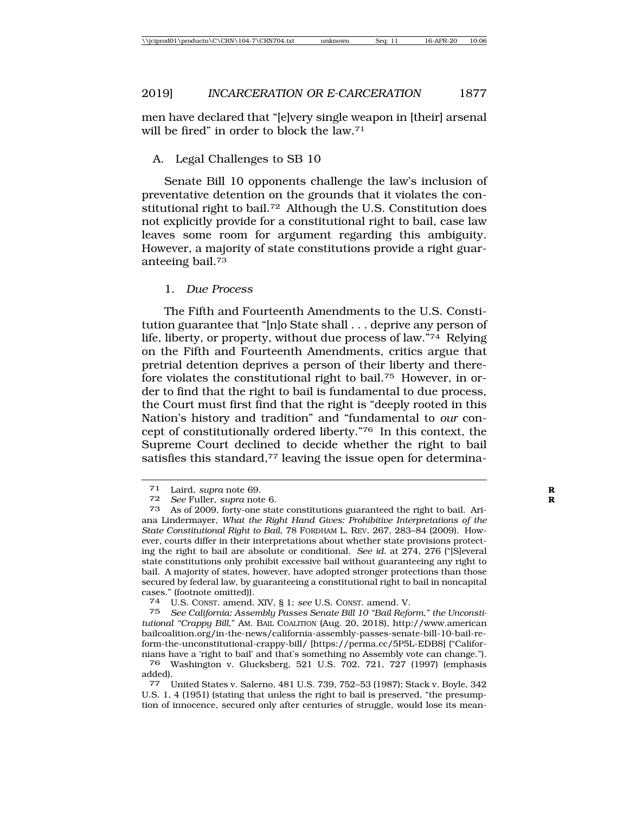men have declared that "[e]very single weapon in [their] arsenal will be fired" in order to block the law.<sup>71</sup>

A. Legal Challenges to SB 10

Senate Bill 10 opponents challenge the law's inclusion of preventative detention on the grounds that it violates the constitutional right to bail.<sup>72</sup> Although the U.S. Constitution does not explicitly provide for a constitutional right to bail, case law leaves some room for argument regarding this ambiguity. However, a majority of state constitutions provide a right guaranteeing bail.73

### 1. *Due Process*

The Fifth and Fourteenth Amendments to the U.S. Constitution guarantee that "[n]o State shall . . . deprive any person of life, liberty, or property, without due process of law."74 Relying on the Fifth and Fourteenth Amendments, critics argue that pretrial detention deprives a person of their liberty and therefore violates the constitutional right to bail.75 However, in order to find that the right to bail is fundamental to due process, the Court must first find that the right is "deeply rooted in this Nation's history and tradition" and "fundamental to *our* concept of constitutionally ordered liberty."76 In this context, the Supreme Court declined to decide whether the right to bail satisfies this standard,<sup>77</sup> leaving the issue open for determina-

<sup>71</sup> Laird, *supra* note 69. **R**

<sup>72</sup> *See* Fuller, *supra* note 6. **R**

<sup>73</sup> As of 2009, forty-one state constitutions guaranteed the right to bail. Ariana Lindermayer, *What the Right Hand Gives: Prohibitive Interpretations of the State Constitutional Right to Bail*, 78 FORDHAM L. REV. 267, 283–84 (2009). However, courts differ in their interpretations about whether state provisions protecting the right to bail are absolute or conditional. *See id.* at 274, 276 ("[S]everal state constitutions only prohibit excessive bail without guaranteeing any right to bail. A majority of states, however, have adopted stronger protections than those secured by federal law, by guaranteeing a constitutional right to bail in noncapital cases." (footnote omitted)).

<sup>74</sup> U.S. CONST. amend. XIV, § 1; *see* U.S. CONST. amend. V.

<sup>75</sup> *See California: Assembly Passes Senate Bill 10 "Bail Reform," the Unconstitutional "Crappy Bill*," AM. BAIL COALITION (Aug. 20, 2018), http://www.american bailcoalition.org/in-the-news/california-assembly-passes-senate-bill-10-bail-reform-the-unconstitutional-crappy-bill/ [https://perma.cc/5P5L-EDB8] ("Californians have a 'right to bail' and that's something no Assembly vote can change.").

<sup>76</sup> Washington v. Glucksberg, 521 U.S. 702, 721, 727 (1997) (emphasis added).

<sup>77</sup> United States v. Salerno, 481 U.S. 739, 752–53 (1987); Stack v. Boyle, 342 U.S. 1, 4 (1951) (stating that unless the right to bail is preserved, "the presumption of innocence, secured only after centuries of struggle, would lose its mean-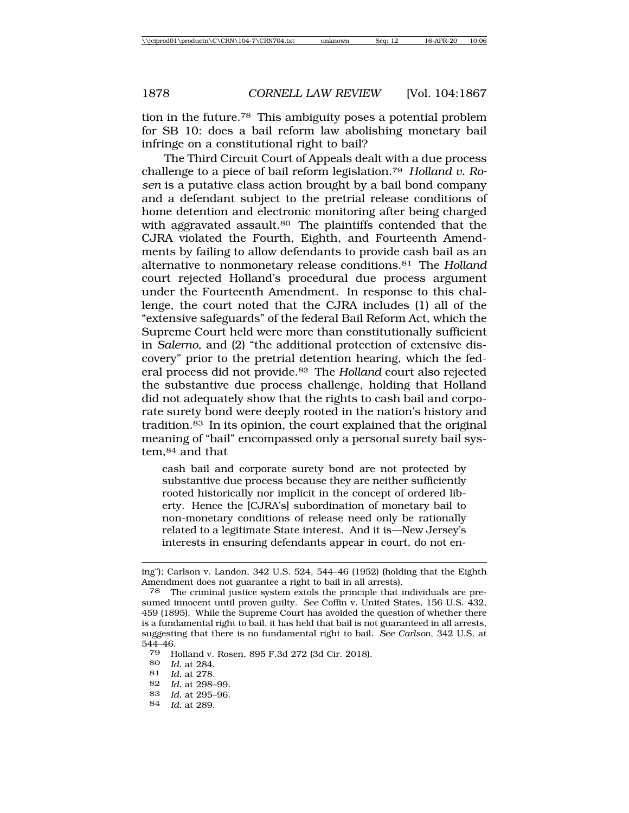tion in the future.78 This ambiguity poses a potential problem for SB 10: does a bail reform law abolishing monetary bail infringe on a constitutional right to bail?

The Third Circuit Court of Appeals dealt with a due process challenge to a piece of bail reform legislation.79 *Holland v. Rosen* is a putative class action brought by a bail bond company and a defendant subject to the pretrial release conditions of home detention and electronic monitoring after being charged with aggravated assault.<sup>80</sup> The plaintiffs contended that the CJRA violated the Fourth, Eighth, and Fourteenth Amendments by failing to allow defendants to provide cash bail as an alternative to nonmonetary release conditions.81 The *Holland* court rejected Holland's procedural due process argument under the Fourteenth Amendment. In response to this challenge, the court noted that the CJRA includes (1) all of the "extensive safeguards" of the federal Bail Reform Act, which the Supreme Court held were more than constitutionally sufficient in *Salerno*, and (2) "the additional protection of extensive discovery" prior to the pretrial detention hearing, which the federal process did not provide.82 The *Holland* court also rejected the substantive due process challenge, holding that Holland did not adequately show that the rights to cash bail and corporate surety bond were deeply rooted in the nation's history and tradition.83 In its opinion, the court explained that the original meaning of "bail" encompassed only a personal surety bail system,84 and that

cash bail and corporate surety bond are not protected by substantive due process because they are neither sufficiently rooted historically nor implicit in the concept of ordered liberty. Hence the [CJRA's] subordination of monetary bail to non-monetary conditions of release need only be rationally related to a legitimate State interest. And it is—New Jersey's interests in ensuring defendants appear in court, do not en-

- 83 *Id.* at 295–96.
- 84 *Id.* at 289.

ing"); Carlson v. Landon, 342 U.S. 524, 544–46 (1952) (holding that the Eighth Amendment does not guarantee a right to bail in all arrests).

<sup>78</sup> The criminal justice system extols the principle that individuals are presumed innocent until proven guilty. *See* Coffin v. United States, 156 U.S. 432, 459 (1895). While the Supreme Court has avoided the question of whether there is a fundamental right to bail, it has held that bail is not guaranteed in all arrests, suggesting that there is no fundamental right to bail. *See Carlson*, 342 U.S. at  $\frac{544-46}{79}$ 

<sup>79</sup> Holland v. Rosen, 895 F.3d 272 (3d Cir. 2018).

<sup>80</sup> *Id.* at 284.

<sup>81</sup> *Id.* at 278.

<sup>82</sup> *Id.* at 298–99.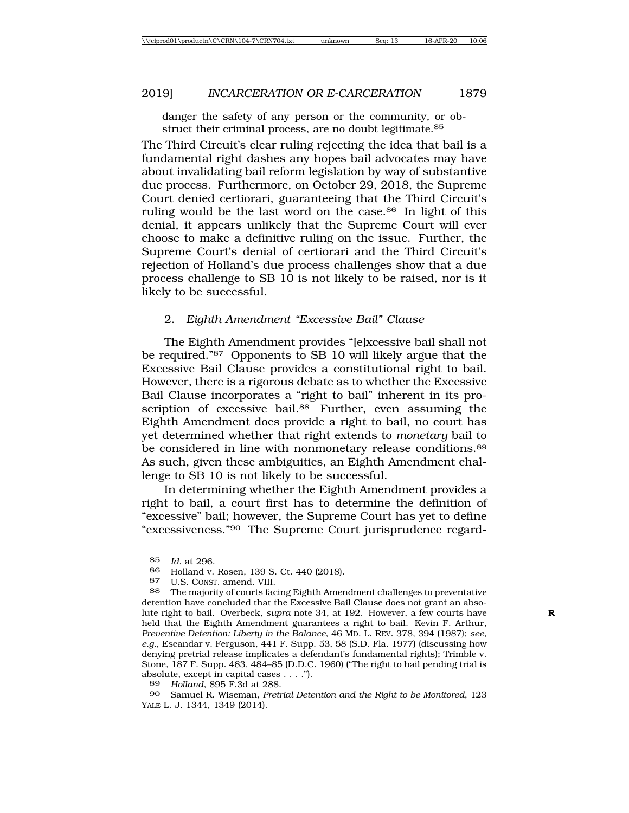danger the safety of any person or the community, or obstruct their criminal process, are no doubt legitimate.<sup>85</sup>

The Third Circuit's clear ruling rejecting the idea that bail is a fundamental right dashes any hopes bail advocates may have about invalidating bail reform legislation by way of substantive due process. Furthermore, on October 29, 2018, the Supreme Court denied certiorari, guaranteeing that the Third Circuit's ruling would be the last word on the case.<sup>86</sup> In light of this denial, it appears unlikely that the Supreme Court will ever choose to make a definitive ruling on the issue. Further, the Supreme Court's denial of certiorari and the Third Circuit's rejection of Holland's due process challenges show that a due process challenge to SB 10 is not likely to be raised, nor is it likely to be successful.

### 2. *Eighth Amendment "Excessive Bail" Clause*

The Eighth Amendment provides "[e]xcessive bail shall not be required."87 Opponents to SB 10 will likely argue that the Excessive Bail Clause provides a constitutional right to bail. However, there is a rigorous debate as to whether the Excessive Bail Clause incorporates a "right to bail" inherent in its proscription of excessive bail.<sup>88</sup> Further, even assuming the Eighth Amendment does provide a right to bail, no court has yet determined whether that right extends to *monetary* bail to be considered in line with nonmonetary release conditions.<sup>89</sup> As such, given these ambiguities, an Eighth Amendment challenge to SB 10 is not likely to be successful.

In determining whether the Eighth Amendment provides a right to bail, a court first has to determine the definition of "excessive" bail; however, the Supreme Court has yet to define "excessiveness."90 The Supreme Court jurisprudence regard-

<sup>85</sup> *Id.* at 296.

<sup>86</sup> Holland v. Rosen, 139 S. Ct. 440 (2018).<br>87 ILS CONST amend VIII

U.S. CONST. amend. VIII.

<sup>88</sup> The majority of courts facing Eighth Amendment challenges to preventative detention have concluded that the Excessive Bail Clause does not grant an absolute right to bail. Overbeck, *supra* note 34, at 192. However, a few courts have **R** held that the Eighth Amendment guarantees a right to bail. Kevin F. Arthur, *Preventive Detention: Liberty in the Balance*, 46 MD. L. REV. 378, 394 (1987); *see, e.g.*, Escandar v. Ferguson, 441 F. Supp. 53, 58 (S.D. Fla. 1977) (discussing how denying pretrial release implicates a defendant's fundamental rights); Trimble v. Stone, 187 F. Supp. 483, 484–85 (D.D.C. 1960) ("The right to bail pending trial is absolute, except in capital cases . . . .").

<sup>89</sup> *Holland*, 895 F.3d at 288.

<sup>90</sup> Samuel R. Wiseman, *Pretrial Detention and the Right to be Monitored*, 123 YALE L. J. 1344, 1349 (2014).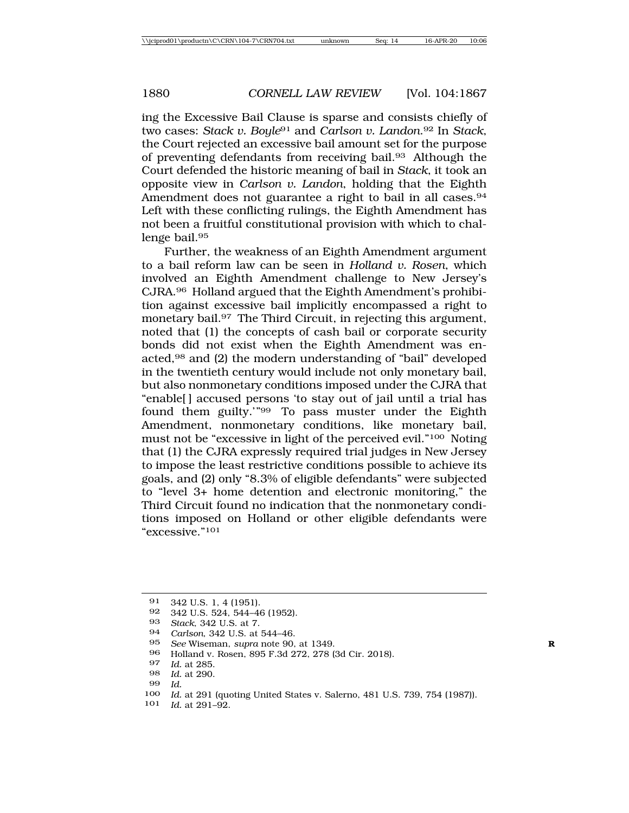ing the Excessive Bail Clause is sparse and consists chiefly of two cases: *Stack v. Boyle*91 and *Carlson v. Landon*.92 In *Stack*, the Court rejected an excessive bail amount set for the purpose of preventing defendants from receiving bail.93 Although the Court defended the historic meaning of bail in *Stack*, it took an opposite view in *Carlson v. Landon*, holding that the Eighth Amendment does not guarantee a right to bail in all cases.<sup>94</sup> Left with these conflicting rulings, the Eighth Amendment has not been a fruitful constitutional provision with which to challenge bail.95

Further, the weakness of an Eighth Amendment argument to a bail reform law can be seen in *Holland v. Rosen*, which involved an Eighth Amendment challenge to New Jersey's CJRA.96 Holland argued that the Eighth Amendment's prohibition against excessive bail implicitly encompassed a right to monetary bail.97 The Third Circuit, in rejecting this argument, noted that (1) the concepts of cash bail or corporate security bonds did not exist when the Eighth Amendment was enacted,98 and (2) the modern understanding of "bail" developed in the twentieth century would include not only monetary bail, but also nonmonetary conditions imposed under the CJRA that "enable[ ] accused persons 'to stay out of jail until a trial has found them guilty.'"99 To pass muster under the Eighth Amendment, nonmonetary conditions, like monetary bail, must not be "excessive in light of the perceived evil."100 Noting that (1) the CJRA expressly required trial judges in New Jersey to impose the least restrictive conditions possible to achieve its goals, and (2) only "8.3% of eligible defendants" were subjected to "level 3+ home detention and electronic monitoring," the Third Circuit found no indication that the nonmonetary conditions imposed on Holland or other eligible defendants were "excessive."101

101 *Id.* at 291–92.

<sup>91 342</sup> U.S. 1, 4 (1951).<br>92 342 U.S. 524 544-40

<sup>92</sup> 342 U.S. 524, 544–46 (1952).

<sup>93</sup> *Stack*, 342 U.S. at 7.

<sup>94</sup> *Carlson*, 342 U.S. at 544–46.

<sup>95</sup> *See* Wiseman, *supra* note 90, at 1349. **R**

<sup>96</sup> Holland v. Rosen, 895 F.3d 272, 278 (3d Cir. 2018).

<sup>97</sup> *Id.* at 285.

<sup>98</sup> *Id.* at 290.

<sup>99</sup> *Id.*

<sup>100</sup> *Id.* at 291 (quoting United States v. Salerno, 481 U.S. 739, 754 (1987)).<br>101 *Id.* at 291-92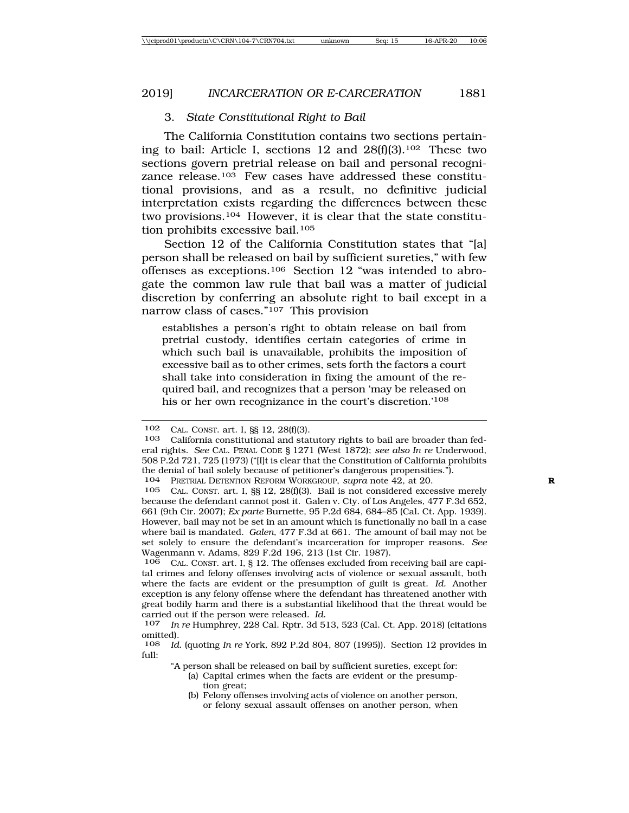The California Constitution contains two sections pertaining to bail: Article I, sections 12 and  $28(f)(3)$ .<sup>102</sup> These two sections govern pretrial release on bail and personal recognizance release.103 Few cases have addressed these constitutional provisions, and as a result, no definitive judicial interpretation exists regarding the differences between these two provisions.104 However, it is clear that the state constitution prohibits excessive bail.<sup>105</sup>

Section 12 of the California Constitution states that "[a] person shall be released on bail by sufficient sureties," with few offenses as exceptions.106 Section 12 "was intended to abrogate the common law rule that bail was a matter of judicial discretion by conferring an absolute right to bail except in a narrow class of cases."107 This provision

establishes a person's right to obtain release on bail from pretrial custody, identifies certain categories of crime in which such bail is unavailable, prohibits the imposition of excessive bail as to other crimes, sets forth the factors a court shall take into consideration in fixing the amount of the required bail, and recognizes that a person 'may be released on his or her own recognizance in the court's discretion.'108

- (a) Capital crimes when the facts are evident or the presumption great;
- (b) Felony offenses involving acts of violence on another person, or felony sexual assault offenses on another person, when

<sup>102</sup> CAL. CONST. art. I,  $\S$ § 12, 28(f)(3).<br>103 California constitutional and star

<sup>103</sup> California constitutional and statutory rights to bail are broader than federal rights. *See* CAL. PENAL CODE § 1271 (West 1872); *see also In re* Underwood, 508 P.2d 721, 725 (1973) ("[I]t is clear that the Constitution of California prohibits the denial of bail solely because of petitioner's dangerous propensities.").

<sup>104</sup> PRETRIAL DETENTION REFORM WORKGROUP, supra note 42, at 20.<br>105 CAL CONST art J 88 12 28(f)(3) Bail is not considered exce

CAL. CONST. art. I, §§ 12, 28(f)(3). Bail is not considered excessive merely because the defendant cannot post it. Galen v. Cty. of Los Angeles, 477 F.3d 652, 661 (9th Cir. 2007); *Ex parte* Burnette, 95 P.2d 684, 684–85 (Cal. Ct. App. 1939). However, bail may not be set in an amount which is functionally no bail in a case where bail is mandated. *Galen*, 477 F.3d at 661. The amount of bail may not be set solely to ensure the defendant's incarceration for improper reasons. *See* Wagenmann v. Adams, 829 F.2d 196, 213 (1st Cir. 1987).

<sup>106</sup> CAL. CONST. art. I, § 12. The offenses excluded from receiving bail are capital crimes and felony offenses involving acts of violence or sexual assault, both where the facts are evident or the presumption of guilt is great. *Id.* Another exception is any felony offense where the defendant has threatened another with great bodily harm and there is a substantial likelihood that the threat would be carried out if the person were released. *Id.*

<sup>107</sup> *In re* Humphrey, 228 Cal. Rptr. 3d 513, 523 (Cal. Ct. App. 2018) (citations omitted).<br>108 Id

*Id.* (quoting *In re* York, 892 P.2d 804, 807 (1995)). Section 12 provides in full:

<sup>&</sup>quot;A person shall be released on bail by sufficient sureties, except for: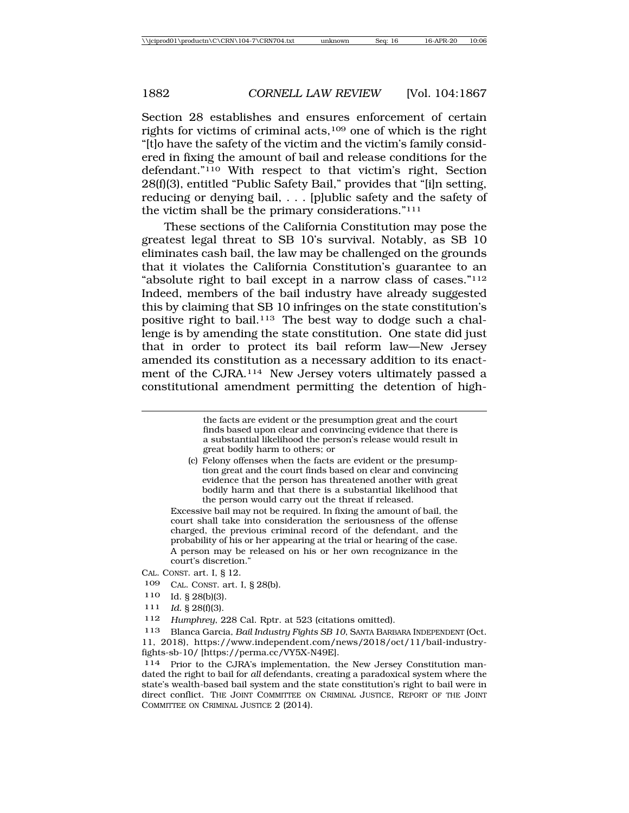Section 28 establishes and ensures enforcement of certain rights for victims of criminal acts,<sup>109</sup> one of which is the right "[t]o have the safety of the victim and the victim's family considered in fixing the amount of bail and release conditions for the defendant."110 With respect to that victim's right, Section 28(f)(3), entitled "Public Safety Bail," provides that "[i]n setting, reducing or denying bail, . . . [p]ublic safety and the safety of the victim shall be the primary considerations."111

These sections of the California Constitution may pose the greatest legal threat to SB 10's survival. Notably, as SB 10 eliminates cash bail, the law may be challenged on the grounds that it violates the California Constitution's guarantee to an "absolute right to bail except in a narrow class of cases."112 Indeed, members of the bail industry have already suggested this by claiming that SB 10 infringes on the state constitution's positive right to bail.113 The best way to dodge such a challenge is by amending the state constitution. One state did just that in order to protect its bail reform law—New Jersey amended its constitution as a necessary addition to its enactment of the CJRA.114 New Jersey voters ultimately passed a constitutional amendment permitting the detention of high-

(c) Felony offenses when the facts are evident or the presumption great and the court finds based on clear and convincing evidence that the person has threatened another with great bodily harm and that there is a substantial likelihood that the person would carry out the threat if released.

Excessive bail may not be required. In fixing the amount of bail, the court shall take into consideration the seriousness of the offense charged, the previous criminal record of the defendant, and the probability of his or her appearing at the trial or hearing of the case. A person may be released on his or her own recognizance in the court's discretion."

111 *Id.* § 28(f)(3).

the facts are evident or the presumption great and the court finds based upon clear and convincing evidence that there is a substantial likelihood the person's release would result in great bodily harm to others; or

CAL. CONST. art. I, § 12.

<sup>109</sup> CAL. CONST. art. I, § 28(b).

<sup>110</sup> Id. § 28(b)(3).

<sup>112</sup> *Humphrey*, 228 Cal. Rptr. at 523 (citations omitted).

<sup>113</sup> Blanca Garcia, *Bail Industry Fights SB 10*, SANTA BARBARA INDEPENDENT (Oct. 11, 2018), https://www.independent.com/news/2018/oct/11/bail-industryfights-sb-10/ [https://perma.cc/VY5X-N49E].

<sup>114</sup> Prior to the CJRA's implementation, the New Jersey Constitution mandated the right to bail for *all* defendants, creating a paradoxical system where the state's wealth-based bail system and the state constitution's right to bail were in direct conflict. THE JOINT COMMITTEE ON CRIMINAL JUSTICE, REPORT OF THE JOINT COMMITTEE ON CRIMINAL JUSTICE 2 (2014).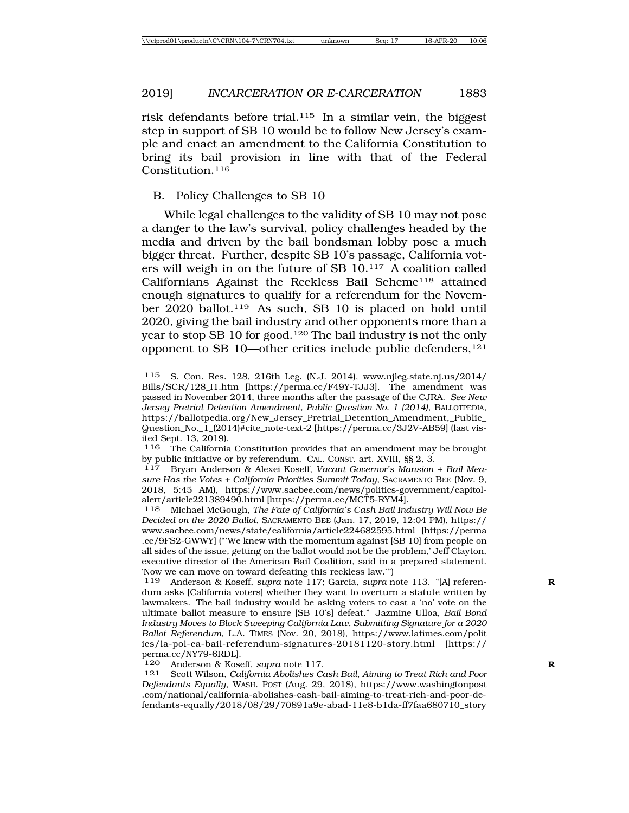risk defendants before trial.<sup>115</sup> In a similar vein, the biggest step in support of SB 10 would be to follow New Jersey's example and enact an amendment to the California Constitution to bring its bail provision in line with that of the Federal Constitution.116

## B. Policy Challenges to SB 10

While legal challenges to the validity of SB 10 may not pose a danger to the law's survival, policy challenges headed by the media and driven by the bail bondsman lobby pose a much bigger threat. Further, despite SB 10's passage, California voters will weigh in on the future of SB 10.117 A coalition called Californians Against the Reckless Bail Scheme118 attained enough signatures to qualify for a referendum for the November 2020 ballot.119 As such, SB 10 is placed on hold until 2020, giving the bail industry and other opponents more than a year to stop SB 10 for good.120 The bail industry is not the only opponent to SB 10—other critics include public defenders,121

116 The California Constitution provides that an amendment may be brought

by public initiative or by referendum. CAL. CONST. art. XVIII, §§ 2, 3. <sup>117</sup> Bryan Anderson & Alexei Koseff, *Vacant Governor's Mansion + Bail Measure Has the Votes + California Priorities Summit Today*, SACRAMENTO BEE (Nov. 9, 2018, 5:45 AM), https://www.sacbee.com/news/politics-government/capitolalert/article221389490.html [https://perma.cc/MCT5-RYM4].

118 Michael McGough, *The Fate of California's Cash Bail Industry Will Now Be Decided on the 2020 Ballot*, SACRAMENTO BEE (Jan. 17, 2019, 12:04 PM), https:// www.sacbee.com/news/state/california/article224682595.html [https://perma .cc/9FS2-GWWY] ("'We knew with the momentum against [SB 10] from people on all sides of the issue, getting on the ballot would not be the problem,' Jeff Clayton, executive director of the American Bail Coalition, said in a prepared statement. 'Now we can move on toward defeating this reckless law.'")

119 Anderson & Koseff, *supra* note 117; Garcia, *supra* note 113. "[A] referen- **R** dum asks [California voters] whether they want to overturn a statute written by lawmakers. The bail industry would be asking voters to cast a 'no' vote on the ultimate ballot measure to ensure [SB 10's] defeat." Jazmine Ulloa, *Bail Bond Industry Moves to Block Sweeping California Law, Submitting Signature for a 2020 Ballot Referendum*, L.A. TIMES (Nov. 20, 2018), https://www.latimes.com/polit ics/la-pol-ca-bail-referendum-signatures-20181120-story.html [https:// perma.cc/NY79-6RDL].

120 Anderson & Koseff, *supra* note 117.<br>121 Scott Wilson *California Abolishes Co* 

121 Scott Wilson, *California Abolishes Cash Bail, Aiming to Treat Rich and Poor Defendants Equally*, WASH. POST (Aug. 29, 2018), https://www.washingtonpost .com/national/california-abolishes-cash-bail-aiming-to-treat-rich-and-poor-defendants-equally/2018/08/29/70891a9e-abad-11e8-b1da-ff7faa680710\_story

<sup>115</sup> S. Con. Res. 128, 216th Leg. (N.J. 2014), www.njleg.state.nj.us/2014/ Bills/SCR/128\_I1.htm [https://perma.cc/F49Y-TJJ3]. The amendment was passed in November 2014, three months after the passage of the CJRA. *See New Jersey Pretrial Detention Amendment, Public Question No. 1 (2014)*, BALLOTPEDIA, https://ballotpedia.org/New\_Jersey\_Pretrial\_Detention\_Amendment,\_Public\_ Question\_No.\_1\_(2014)#cite\_note-text-2 [https://perma.cc/3J2V-AB59] (last visited Sept. 13, 2019).<br>116 The California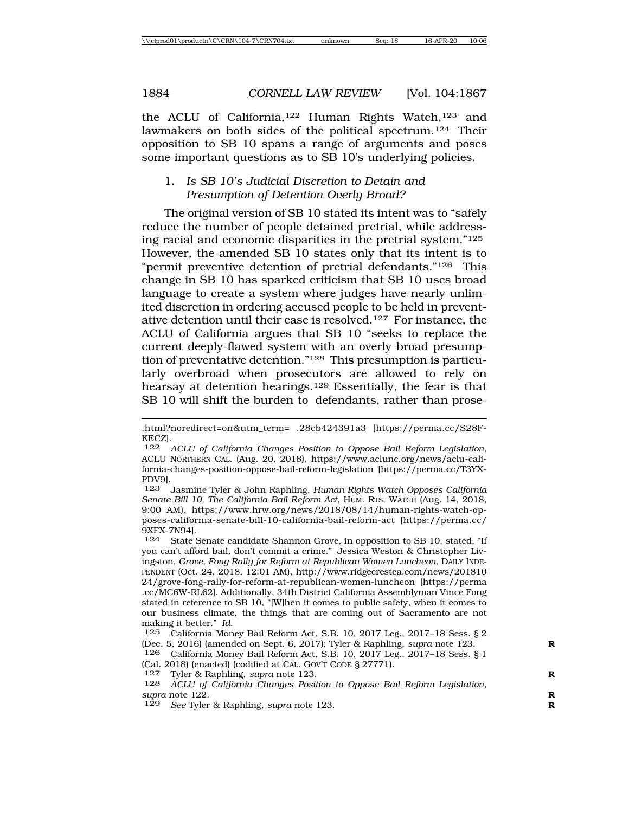the ACLU of California,<sup>122</sup> Human Rights Watch,<sup>123</sup> and lawmakers on both sides of the political spectrum.124 Their opposition to SB 10 spans a range of arguments and poses some important questions as to SB 10's underlying policies.

## 1. *Is SB 10's Judicial Discretion to Detain and Presumption of Detention Overly Broad?*

The original version of SB 10 stated its intent was to "safely reduce the number of people detained pretrial, while addressing racial and economic disparities in the pretrial system."125 However, the amended SB 10 states only that its intent is to "permit preventive detention of pretrial defendants."126 This change in SB 10 has sparked criticism that SB 10 uses broad language to create a system where judges have nearly unlimited discretion in ordering accused people to be held in preventative detention until their case is resolved.127 For instance, the ACLU of California argues that SB 10 "seeks to replace the current deeply-flawed system with an overly broad presumption of preventative detention."128 This presumption is particularly overbroad when prosecutors are allowed to rely on hearsay at detention hearings.129 Essentially, the fear is that SB 10 will shift the burden to defendants, rather than prose-

<sup>.</sup>html?noredirect=on&utm\_term= .28cb424391a3 [https://perma.cc/S28F-KECZ].

<sup>122</sup> *ACLU of California Changes Position to Oppose Bail Reform Legislation*, ACLU NORTHERN CAL. (Aug. 20, 2018), https://www.aclunc.org/news/aclu-california-changes-position-oppose-bail-reform-legislation [https://perma.cc/T3YX-PDV9].

<sup>123</sup> Jasmine Tyler & John Raphling, *Human Rights Watch Opposes California Senate Bill 10, The California Bail Reform Act*, HUM. RTS. WATCH (Aug. 14, 2018, 9:00 AM), https://www.hrw.org/news/2018/08/14/human-rights-watch-opposes-california-senate-bill-10-california-bail-reform-act [https://perma.cc/ 9XFX-7N94].

<sup>124</sup> State Senate candidate Shannon Grove, in opposition to SB 10, stated, "If you can't afford bail, don't commit a crime." Jessica Weston & Christopher Livingston, *Grove, Fong Rally for Reform at Republican Women Luncheon*, DAILY INDE-PENDENT (Oct. 24, 2018, 12:01 AM), http://www.ridgecrestca.com/news/201810 24/grove-fong-rally-for-reform-at-republican-women-luncheon [https://perma .cc/MC6W-RL62]. Additionally, 34th District California Assemblyman Vince Fong stated in reference to SB 10, "[W]hen it comes to public safety, when it comes to our business climate, the things that are coming out of Sacramento are not making it better." *Id.*

<sup>125</sup> California Money Bail Reform Act, S.B. 10, 2017 Leg., 2017–18 Sess. § 2 (Dec. 5, 2016) (amended on Sept. 6, 2017); Tyler & Raphling, *supra* note 123.

<sup>126</sup> California Money Bail Reform Act, S.B. 10, 2017 Leg., 2017–18 Sess. § 1 (Cal. 2018) (enacted) (codified at CAL. GOVT CODE § 27771).<br>127 Tyler & Raphling, supra note 123.

<sup>127</sup> Tyler & Raphling, *supra* note 123. **R**

<sup>128</sup> *ACLU of California Changes Position to Oppose Bail Reform Legislation*, *supra* note 122. **R**

<sup>129</sup> *See* Tyler & Raphling, *supra* note 123. **R**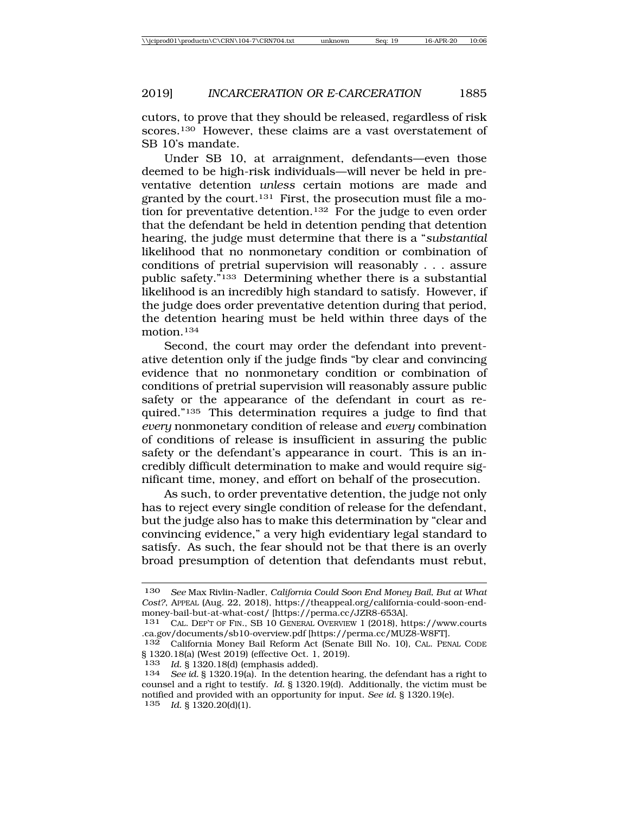cutors, to prove that they should be released, regardless of risk scores.130 However, these claims are a vast overstatement of SB 10's mandate.

Under SB 10, at arraignment, defendants—even those deemed to be high-risk individuals—will never be held in preventative detention *unless* certain motions are made and granted by the court.<sup>131</sup> First, the prosecution must file a motion for preventative detention.132 For the judge to even order that the defendant be held in detention pending that detention hearing, the judge must determine that there is a "*substantial* likelihood that no nonmonetary condition or combination of conditions of pretrial supervision will reasonably . . . assure public safety."133 Determining whether there is a substantial likelihood is an incredibly high standard to satisfy. However, if the judge does order preventative detention during that period, the detention hearing must be held within three days of the motion.134

Second, the court may order the defendant into preventative detention only if the judge finds "by clear and convincing evidence that no nonmonetary condition or combination of conditions of pretrial supervision will reasonably assure public safety or the appearance of the defendant in court as required."135 This determination requires a judge to find that *every* nonmonetary condition of release and *every* combination of conditions of release is insufficient in assuring the public safety or the defendant's appearance in court. This is an incredibly difficult determination to make and would require significant time, money, and effort on behalf of the prosecution.

As such, to order preventative detention, the judge not only has to reject every single condition of release for the defendant, but the judge also has to make this determination by "clear and convincing evidence," a very high evidentiary legal standard to satisfy. As such, the fear should not be that there is an overly broad presumption of detention that defendants must rebut,

<sup>130</sup> *See* Max Rivlin-Nadler, *California Could Soon End Money Bail, But at What Cost?*, APPEAL (Aug. 22, 2018), https://theappeal.org/california-could-soon-endmoney-bail-but-at-what-cost/ [https://perma.cc/JZR8-653A].

<sup>131</sup> CAL. DEP'T OF FIN., SB 10 GENERAL OVERVIEW 1 (2018), https://www.courts .ca.gov/documents/sb10-overview.pdf [https://perma.cc/MUZ8-W8FT].

California Money Bail Reform Act (Senate Bill No. 10), CAL. PENAL CODE § 1320.18(a) (West 2019) (effective Oct. 1, 2019).

<sup>133</sup> *Id.* § 1320.18(d) (emphasis added).

See id. § 1320.19(a). In the detention hearing, the defendant has a right to counsel and a right to testify. *Id.* § 1320.19(d). Additionally, the victim must be notified and provided with an opportunity for input. *See id.* § 1320.19(e). 135 *Id.* § 1320.20(d)(1).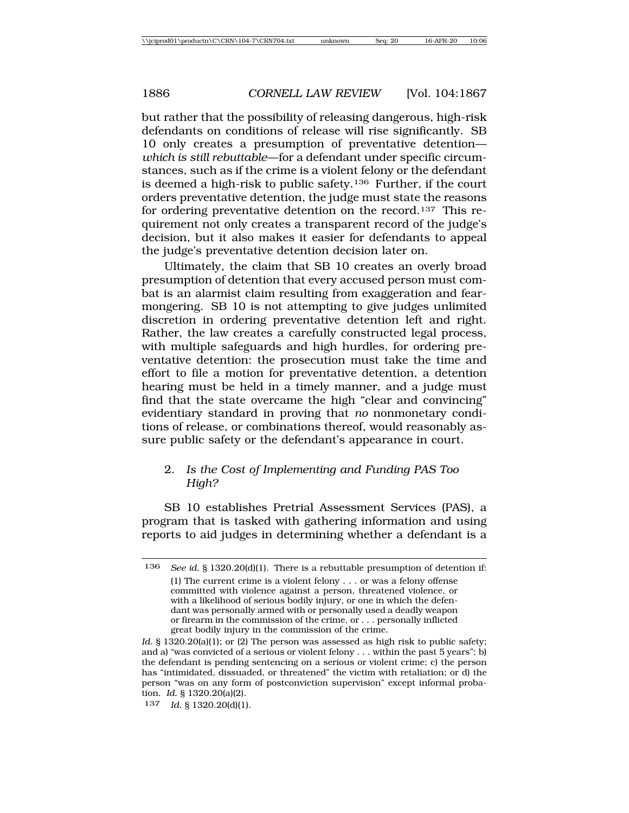but rather that the possibility of releasing dangerous, high-risk defendants on conditions of release will rise significantly. SB 10 only creates a presumption of preventative detention *which is still rebuttable*—for a defendant under specific circumstances, such as if the crime is a violent felony or the defendant is deemed a high-risk to public safety.<sup>136</sup> Further, if the court orders preventative detention, the judge must state the reasons for ordering preventative detention on the record.137 This requirement not only creates a transparent record of the judge's decision, but it also makes it easier for defendants to appeal the judge's preventative detention decision later on.

Ultimately, the claim that SB 10 creates an overly broad presumption of detention that every accused person must combat is an alarmist claim resulting from exaggeration and fearmongering. SB 10 is not attempting to give judges unlimited discretion in ordering preventative detention left and right. Rather, the law creates a carefully constructed legal process, with multiple safeguards and high hurdles, for ordering preventative detention: the prosecution must take the time and effort to file a motion for preventative detention, a detention hearing must be held in a timely manner, and a judge must find that the state overcame the high "clear and convincing" evidentiary standard in proving that *no* nonmonetary conditions of release, or combinations thereof, would reasonably assure public safety or the defendant's appearance in court.

### 2. *Is the Cost of Implementing and Funding PAS Too High?*

SB 10 establishes Pretrial Assessment Services (PAS), a program that is tasked with gathering information and using reports to aid judges in determining whether a defendant is a

<sup>136</sup> *See id.* § 1320.20(d)(1). There is a rebuttable presumption of detention if: (1) The current crime is a violent felony . . . or was a felony offense committed with violence against a person, threatened violence, or with a likelihood of serious bodily injury, or one in which the defendant was personally armed with or personally used a deadly weapon or firearm in the commission of the crime, or . . . personally inflicted great bodily injury in the commission of the crime.

Id. § 1320.20(a)(1); or (2) The person was assessed as high risk to public safety; and a) "was convicted of a serious or violent felony . . . within the past 5 years"; b) the defendant is pending sentencing on a serious or violent crime; c) the person has "intimidated, dissuaded, or threatened" the victim with retaliation; or d) the person "was on any form of postconviction supervision" except informal probation. *Id.* § 1320.20(a)(2).

<sup>137</sup> *Id.* § 1320.20(d)(1).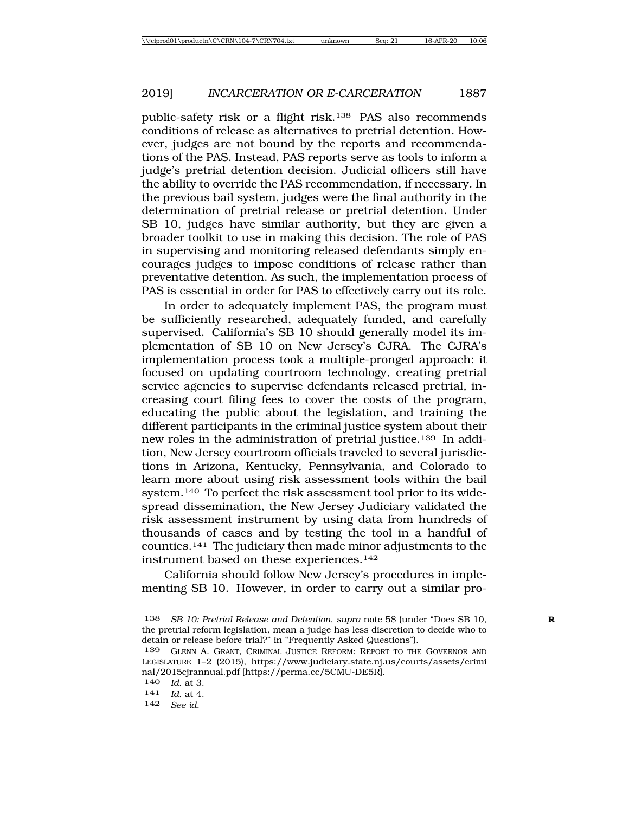public-safety risk or a flight risk.138 PAS also recommends conditions of release as alternatives to pretrial detention. However, judges are not bound by the reports and recommendations of the PAS. Instead, PAS reports serve as tools to inform a judge's pretrial detention decision. Judicial officers still have the ability to override the PAS recommendation, if necessary. In the previous bail system, judges were the final authority in the determination of pretrial release or pretrial detention. Under SB 10, judges have similar authority, but they are given a broader toolkit to use in making this decision. The role of PAS in supervising and monitoring released defendants simply encourages judges to impose conditions of release rather than preventative detention. As such, the implementation process of PAS is essential in order for PAS to effectively carry out its role.

In order to adequately implement PAS, the program must be sufficiently researched, adequately funded, and carefully supervised. California's SB 10 should generally model its implementation of SB 10 on New Jersey's CJRA. The CJRA's implementation process took a multiple-pronged approach: it focused on updating courtroom technology, creating pretrial service agencies to supervise defendants released pretrial, increasing court filing fees to cover the costs of the program, educating the public about the legislation, and training the different participants in the criminal justice system about their new roles in the administration of pretrial justice.139 In addition, New Jersey courtroom officials traveled to several jurisdictions in Arizona, Kentucky, Pennsylvania, and Colorado to learn more about using risk assessment tools within the bail system.140 To perfect the risk assessment tool prior to its widespread dissemination, the New Jersey Judiciary validated the risk assessment instrument by using data from hundreds of thousands of cases and by testing the tool in a handful of counties.141 The judiciary then made minor adjustments to the instrument based on these experiences.142

California should follow New Jersey's procedures in implementing SB 10. However, in order to carry out a similar pro-

<sup>138</sup> *SB 10: Pretrial Release and Detention*, *supra* note 58 (under "Does SB 10, **R** the pretrial reform legislation, mean a judge has less discretion to decide who to detain or release before trial?" in "Frequently Asked Questions").

<sup>139</sup> GLENN A. GRANT, CRIMINAL JUSTICE REFORM: REPORT TO THE GOVERNOR AND LEGISLATURE 1–2 (2015), https://www.judiciary.state.nj.us/courts/assets/crimi nal/2015cjrannual.pdf [https://perma.cc/5CMU-DE5R].

<sup>140</sup> *Id.* at 3.

<sup>141</sup> *Id.* at 4.

<sup>142</sup> *See id.*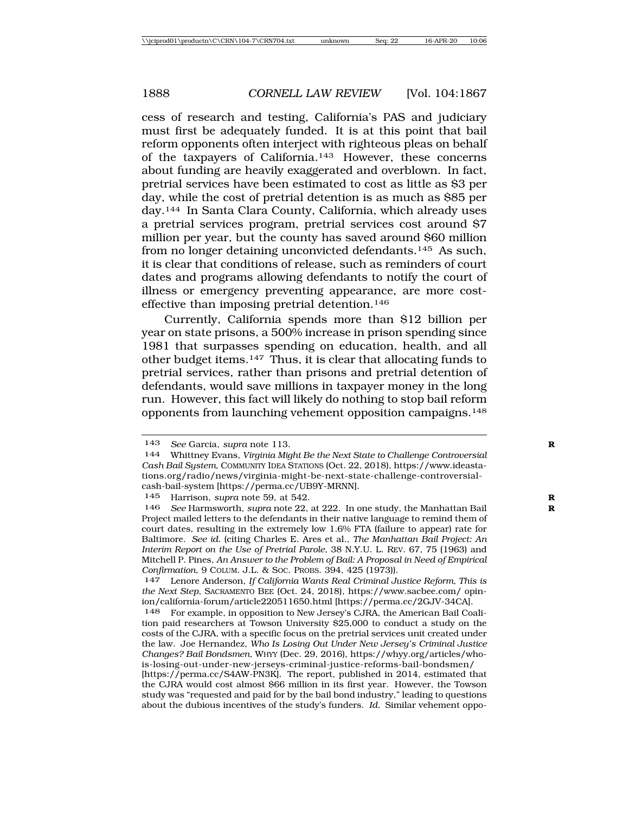cess of research and testing, California's PAS and judiciary must first be adequately funded. It is at this point that bail reform opponents often interject with righteous pleas on behalf of the taxpayers of California.143 However, these concerns about funding are heavily exaggerated and overblown. In fact, pretrial services have been estimated to cost as little as \$3 per day, while the cost of pretrial detention is as much as \$85 per day.144 In Santa Clara County, California, which already uses a pretrial services program, pretrial services cost around \$7 million per year, but the county has saved around \$60 million from no longer detaining unconvicted defendants.145 As such, it is clear that conditions of release, such as reminders of court dates and programs allowing defendants to notify the court of illness or emergency preventing appearance, are more costeffective than imposing pretrial detention.146

Currently, California spends more than \$12 billion per year on state prisons, a 500% increase in prison spending since 1981 that surpasses spending on education, health, and all other budget items.147 Thus, it is clear that allocating funds to pretrial services, rather than prisons and pretrial detention of defendants, would save millions in taxpayer money in the long run. However, this fact will likely do nothing to stop bail reform opponents from launching vehement opposition campaigns.148

<sup>143</sup> *See* Garcia, *supra* note 113. **R**

<sup>144</sup> Whittney Evans, *Virginia Might Be the Next State to Challenge Controversial Cash Bail System*, COMMUNITY IDEA STATIONS (Oct. 22, 2018), https://www.ideastations.org/radio/news/virginia-might-be-next-state-challenge-controversialcash-bail-system [https://perma.cc/UB9Y-MRNN].

<sup>145</sup> Harrison, *supra* note 59, at 542. **R**

<sup>146</sup> *See* Harmsworth, *supra* note 22, at 222. In one study, the Manhattan Bail **R** Project mailed letters to the defendants in their native language to remind them of court dates, resulting in the extremely low 1.6% FTA (failure to appear) rate for Baltimore. *See id.* (citing Charles E. Ares et al., *The Manhattan Bail Project: An Interim Report on the Use of Pretrial Parole*, 38 N.Y.U. L. REV. 67, 75 (1963) and Mitchell P. Pines, *An Answer to the Problem of Bail: A Proposal in Need of Empirical Confirmation*, 9 COLUM. J.L. & SOC. PROBS. 394, 425 (1973)).

<sup>147</sup> Lenore Anderson, *If California Wants Real Criminal Justice Reform, This is the Next Step*, SACRAMENTO BEE (Oct. 24, 2018), https://www.sacbee.com/ opinion/california-forum/article220511650.html [https://perma.cc/2GJV-34CA].

<sup>148</sup> For example, in opposition to New Jersey's CJRA, the American Bail Coalition paid researchers at Towson University \$25,000 to conduct a study on the costs of the CJRA, with a specific focus on the pretrial services unit created under the law. Joe Hernandez, *Who Is Losing Out Under New Jersey's Criminal Justice Changes? Bail Bondsmen*, WHYY (Dec. 29, 2016), https://whyy.org/articles/whois-losing-out-under-new-jerseys-criminal-justice-reforms-bail-bondsmen/

<sup>[</sup>https://perma.cc/S4AW-PN3K]. The report, published in 2014, estimated that the CJRA would cost almost \$66 million in its first year. However, the Towson study was "requested and paid for by the bail bond industry," leading to questions about the dubious incentives of the study's funders. *Id.* Similar vehement oppo-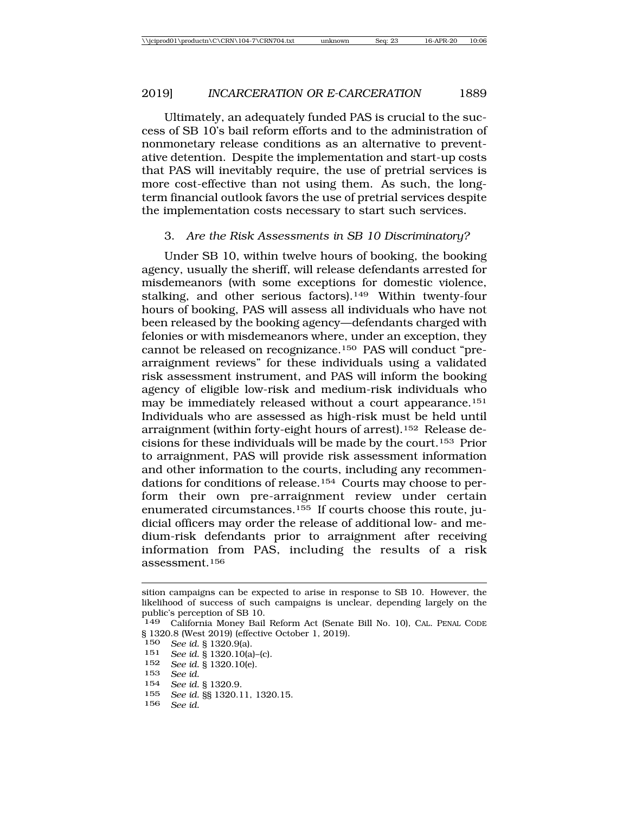Ultimately, an adequately funded PAS is crucial to the success of SB 10's bail reform efforts and to the administration of nonmonetary release conditions as an alternative to preventative detention. Despite the implementation and start-up costs that PAS will inevitably require, the use of pretrial services is more cost-effective than not using them. As such, the longterm financial outlook favors the use of pretrial services despite the implementation costs necessary to start such services.

### 3. *Are the Risk Assessments in SB 10 Discriminatory?*

Under SB 10, within twelve hours of booking, the booking agency, usually the sheriff, will release defendants arrested for misdemeanors (with some exceptions for domestic violence, stalking, and other serious factors).<sup>149</sup> Within twenty-four hours of booking, PAS will assess all individuals who have not been released by the booking agency—defendants charged with felonies or with misdemeanors where, under an exception, they cannot be released on recognizance.150 PAS will conduct "prearraignment reviews" for these individuals using a validated risk assessment instrument, and PAS will inform the booking agency of eligible low-risk and medium-risk individuals who may be immediately released without a court appearance.151 Individuals who are assessed as high-risk must be held until arraignment (within forty-eight hours of arrest).152 Release decisions for these individuals will be made by the court.153 Prior to arraignment, PAS will provide risk assessment information and other information to the courts, including any recommendations for conditions of release.<sup>154</sup> Courts may choose to perform their own pre-arraignment review under certain enumerated circumstances.155 If courts choose this route, judicial officers may order the release of additional low- and medium-risk defendants prior to arraignment after receiving information from PAS, including the results of a risk assessment.156

153 *See id.*

- 155 *See id.* §§ 1320.11, 1320.15.
- 156 *See id.*

sition campaigns can be expected to arise in response to SB 10. However, the likelihood of success of such campaigns is unclear, depending largely on the public's perception of SB 10.

<sup>149</sup> California Money Bail Reform Act (Senate Bill No. 10), CAL. PENAL CODE  $\S$  1320.8 (West 2019) (effective October 1, 2019).<br>150 See id 8 1320 9(a)

<sup>150</sup> *See id.* § 1320.9(a).

See id. § 1320.10(a)-(c).

<sup>152</sup> *See id.* § 1320.10(e).

<sup>154</sup> *See id.* § 1320.9.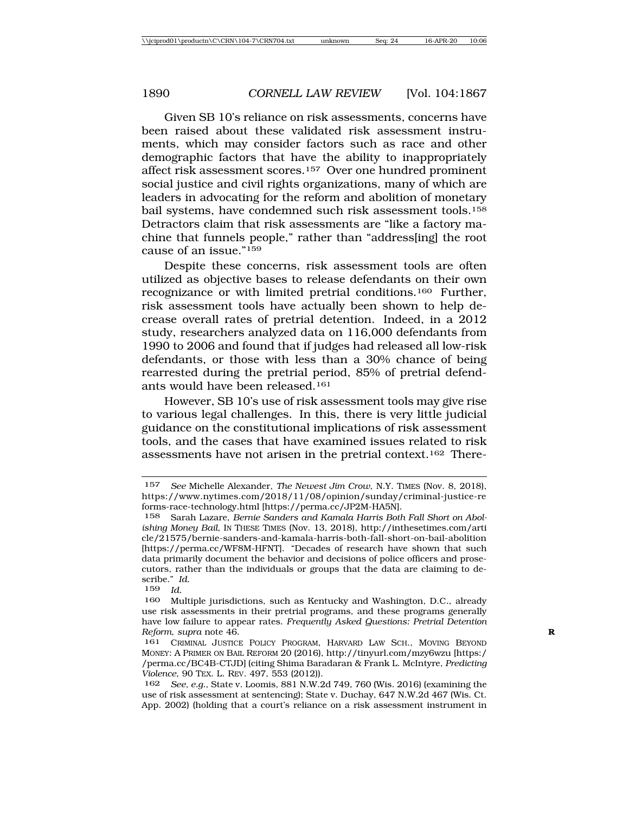Given SB 10's reliance on risk assessments, concerns have been raised about these validated risk assessment instruments, which may consider factors such as race and other demographic factors that have the ability to inappropriately affect risk assessment scores.157 Over one hundred prominent social justice and civil rights organizations, many of which are leaders in advocating for the reform and abolition of monetary bail systems, have condemned such risk assessment tools.158 Detractors claim that risk assessments are "like a factory machine that funnels people," rather than "address[ing] the root cause of an issue."159

Despite these concerns, risk assessment tools are often utilized as objective bases to release defendants on their own recognizance or with limited pretrial conditions.160 Further, risk assessment tools have actually been shown to help decrease overall rates of pretrial detention. Indeed, in a 2012 study, researchers analyzed data on 116,000 defendants from 1990 to 2006 and found that if judges had released all low-risk defendants, or those with less than a 30% chance of being rearrested during the pretrial period, 85% of pretrial defendants would have been released.161

However, SB 10's use of risk assessment tools may give rise to various legal challenges. In this, there is very little judicial guidance on the constitutional implications of risk assessment tools, and the cases that have examined issues related to risk assessments have not arisen in the pretrial context.162 There-

<sup>157</sup> *See* Michelle Alexander, *The Newest Jim Crow*, N.Y. TIMES (Nov. 8, 2018), https://www.nytimes.com/2018/11/08/opinion/sunday/criminal-justice-re forms-race-technology.html [https://perma.cc/JP2M-HA5N].

<sup>158</sup> Sarah Lazare, *Bernie Sanders and Kamala Harris Both Fall Short on Abolishing Money Bail*, IN THESE TIMES (Nov. 13, 2018), http://inthesetimes.com/arti cle/21575/bernie-sanders-and-kamala-harris-both-fall-short-on-bail-abolition [https://perma.cc/WF8M-HFNT]. "Decades of research have shown that such data primarily document the behavior and decisions of police officers and prosecutors, rather than the individuals or groups that the data are claiming to describe." *Id.*

<sup>159</sup> *Id.*

<sup>160</sup> Multiple jurisdictions, such as Kentucky and Washington, D.C., already use risk assessments in their pretrial programs, and these programs generally have low failure to appear rates. *Frequently Asked Questions: Pretrial Detention Reform, supra note 46.* 

<sup>161</sup> CRIMINAL JUSTICE POLICY PROGRAM, HARVARD LAW SCH., MOVING BEYOND MONEY: A PRIMER ON BAIL REFORM 20 (2016), http://tinyurl.com/mzy6wzu [https:/ /perma.cc/BC4B-CTJD] (citing Shima Baradaran & Frank L. McIntyre, *Predicting Violence*, 90 TEX. L. REV. 497, 553 (2012)).

<sup>162</sup> *See, e.g.*, State v. Loomis, 881 N.W.2d 749, 760 (Wis. 2016) (examining the use of risk assessment at sentencing); State v. Duchay, 647 N.W.2d 467 (Wis. Ct. App. 2002) (holding that a court's reliance on a risk assessment instrument in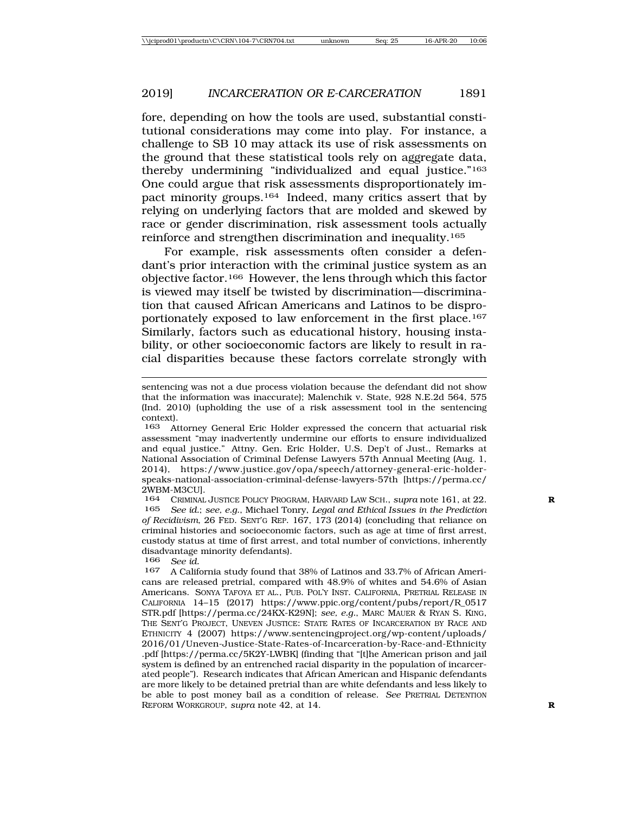fore, depending on how the tools are used, substantial constitutional considerations may come into play. For instance, a challenge to SB 10 may attack its use of risk assessments on the ground that these statistical tools rely on aggregate data, thereby undermining "individualized and equal justice."163 One could argue that risk assessments disproportionately impact minority groups.164 Indeed, many critics assert that by relying on underlying factors that are molded and skewed by race or gender discrimination, risk assessment tools actually reinforce and strengthen discrimination and inequality.165

For example, risk assessments often consider a defendant's prior interaction with the criminal justice system as an objective factor.166 However, the lens through which this factor is viewed may itself be twisted by discrimination—discrimination that caused African Americans and Latinos to be disproportionately exposed to law enforcement in the first place.167 Similarly, factors such as educational history, housing instability, or other socioeconomic factors are likely to result in racial disparities because these factors correlate strongly with

166 *See id.*

sentencing was not a due process violation because the defendant did not show that the information was inaccurate); Malenchik v. State, 928 N.E.2d 564, 575 (Ind. 2010) (upholding the use of a risk assessment tool in the sentencing context).<br>163 At

Attorney General Eric Holder expressed the concern that actuarial risk assessment "may inadvertently undermine our efforts to ensure individualized and equal justice." Attny. Gen. Eric Holder, U.S. Dep't of Just., Remarks at National Association of Criminal Defense Lawyers 57th Annual Meeting (Aug. 1, 2014), https://www.justice.gov/opa/speech/attorney-general-eric-holderspeaks-national-association-criminal-defense-lawyers-57th [https://perma.cc/ 2WBM-M3CU].

<sup>164</sup> CRIMINAL JUSTICE POLICY PROGRAM, HARVARD LAW SCH., *supra* note 161, at 22.<br>165 See id: see e.g. Michael Tonry *Legal and Ethical Issues in the Prediction* 165 *See id.*; *see, e.g.*, Michael Tonry, *Legal and Ethical Issues in the Prediction of Recidivism*, 26 FED. SENT'G REP. 167, 173 (2014) (concluding that reliance on criminal histories and socioeconomic factors, such as age at time of first arrest, custody status at time of first arrest, and total number of convictions, inherently disadvantage minority defendants).<br> $166$  See id

<sup>167</sup> A California study found that 38% of Latinos and 33.7% of African Americans are released pretrial, compared with 48.9% of whites and 54.6% of Asian Americans. SONYA TAFOYA ET AL., PUB. POL'Y INST. CALIFORNIA, PRETRIAL RELEASE IN CALIFORNIA 14–15 (2017) https://www.ppic.org/content/pubs/report/R\_0517 STR.pdf [https://perma.cc/24KX-K29N]; *see, e.g.*, MARC MAUER & RYAN S. KING, THE SENT'G PROJECT, UNEVEN JUSTICE: STATE RATES OF INCARCERATION BY RACE AND ETHNICITY 4 (2007) https://www.sentencingproject.org/wp-content/uploads/ 2016/01/Uneven-Justice-State-Rates-of-Incarceration-by-Race-and-Ethnicity .pdf [https://perma.cc/5K2Y-LWBK] (finding that "[t]he American prison and jail system is defined by an entrenched racial disparity in the population of incarcerated people"). Research indicates that African American and Hispanic defendants are more likely to be detained pretrial than are white defendants and less likely to be able to post money bail as a condition of release. *See* PRETRIAL DETENTION REFORM WORKGROUP, *supra* note 42, at 14. **R**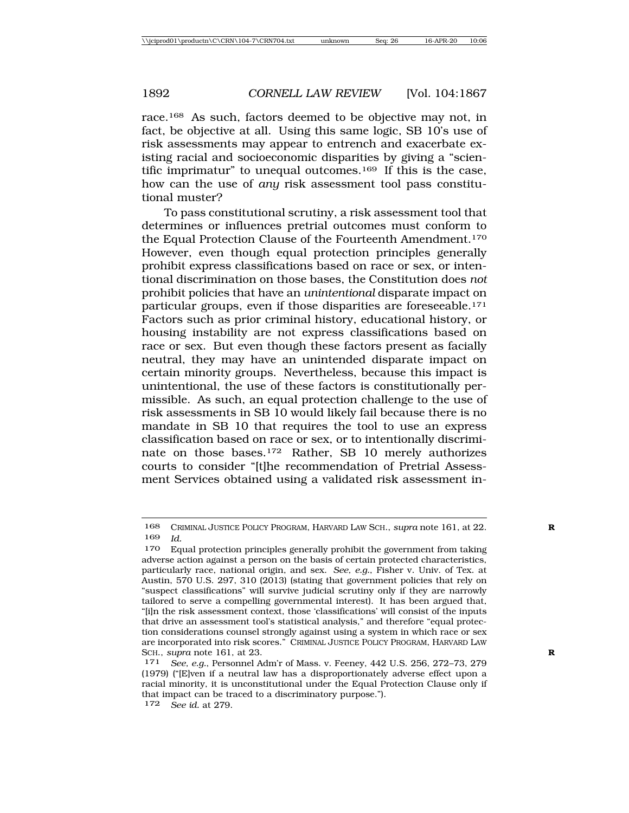race.168 As such, factors deemed to be objective may not, in fact, be objective at all. Using this same logic, SB 10's use of risk assessments may appear to entrench and exacerbate existing racial and socioeconomic disparities by giving a "scientific imprimatur" to unequal outcomes.169 If this is the case, how can the use of *any* risk assessment tool pass constitutional muster?

To pass constitutional scrutiny, a risk assessment tool that determines or influences pretrial outcomes must conform to the Equal Protection Clause of the Fourteenth Amendment.170 However, even though equal protection principles generally prohibit express classifications based on race or sex, or intentional discrimination on those bases, the Constitution does *not* prohibit policies that have an *unintentional* disparate impact on particular groups, even if those disparities are foreseeable.171 Factors such as prior criminal history, educational history, or housing instability are not express classifications based on race or sex. But even though these factors present as facially neutral, they may have an unintended disparate impact on certain minority groups. Nevertheless, because this impact is unintentional, the use of these factors is constitutionally permissible. As such, an equal protection challenge to the use of risk assessments in SB 10 would likely fail because there is no mandate in SB 10 that requires the tool to use an express classification based on race or sex, or to intentionally discriminate on those bases.172 Rather, SB 10 merely authorizes courts to consider "[t]he recommendation of Pretrial Assessment Services obtained using a validated risk assessment in-

<sup>168</sup> CRIMINAL JUSTICE POLICY PROGRAM, HARVARD LAW SCH., *supra* note 161, at 22. **R** 169 *Id.*

Equal protection principles generally prohibit the government from taking adverse action against a person on the basis of certain protected characteristics, particularly race, national origin, and sex. *See, e.g.*, Fisher v. Univ. of Tex. at Austin, 570 U.S. 297, 310 (2013) (stating that government policies that rely on "suspect classifications" will survive judicial scrutiny only if they are narrowly tailored to serve a compelling governmental interest). It has been argued that, "[i]n the risk assessment context, those 'classifications' will consist of the inputs that drive an assessment tool's statistical analysis," and therefore "equal protection considerations counsel strongly against using a system in which race or sex are incorporated into risk scores." CRIMINAL JUSTICE POLICY PROGRAM, HARVARD LAW SCH., *supra* note 161, at 23. **R**

<sup>171</sup> *See, e.g.*, Personnel Adm'r of Mass. v. Feeney, 442 U.S. 256, 272–73, 279 (1979) ("[E]ven if a neutral law has a disproportionately adverse effect upon a racial minority, it is unconstitutional under the Equal Protection Clause only if that impact can be traced to a discriminatory purpose.").

<sup>172</sup> *See id.* at 279.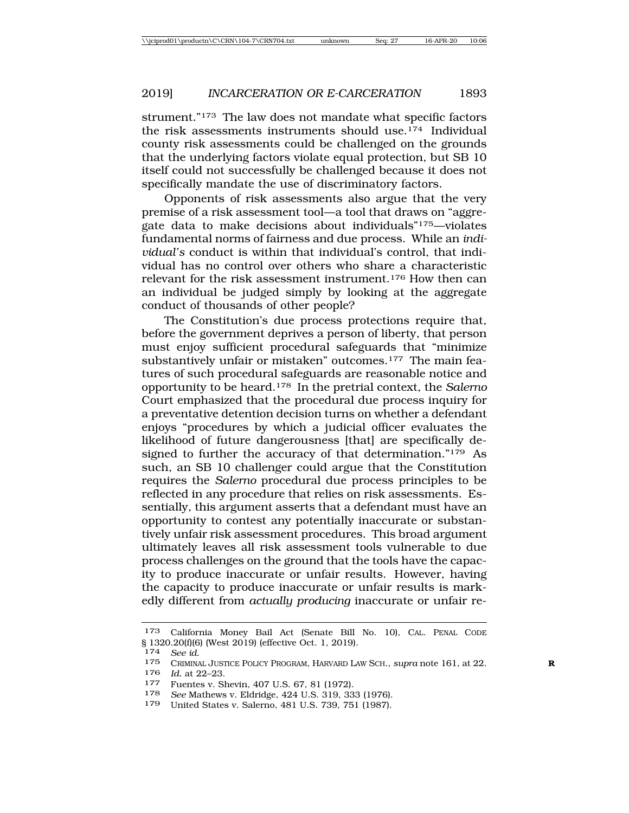strument."<sup>173</sup> The law does not mandate what specific factors the risk assessments instruments should use.<sup>174</sup> Individual county risk assessments could be challenged on the grounds that the underlying factors violate equal protection, but SB 10 itself could not successfully be challenged because it does not specifically mandate the use of discriminatory factors.

Opponents of risk assessments also argue that the very premise of a risk assessment tool—a tool that draws on "aggregate data to make decisions about individuals"175—violates fundamental norms of fairness and due process. While an *individual's* conduct is within that individual's control, that individual has no control over others who share a characteristic relevant for the risk assessment instrument.<sup>176</sup> How then can an individual be judged simply by looking at the aggregate conduct of thousands of other people?

The Constitution's due process protections require that, before the government deprives a person of liberty, that person must enjoy sufficient procedural safeguards that "minimize substantively unfair or mistaken" outcomes.<sup>177</sup> The main features of such procedural safeguards are reasonable notice and opportunity to be heard.178 In the pretrial context, the *Salerno* Court emphasized that the procedural due process inquiry for a preventative detention decision turns on whether a defendant enjoys "procedures by which a judicial officer evaluates the likelihood of future dangerousness [that] are specifically designed to further the accuracy of that determination."<sup>179</sup> As such, an SB 10 challenger could argue that the Constitution requires the *Salerno* procedural due process principles to be reflected in any procedure that relies on risk assessments. Essentially, this argument asserts that a defendant must have an opportunity to contest any potentially inaccurate or substantively unfair risk assessment procedures. This broad argument ultimately leaves all risk assessment tools vulnerable to due process challenges on the ground that the tools have the capacity to produce inaccurate or unfair results. However, having the capacity to produce inaccurate or unfair results is markedly different from *actually producing* inaccurate or unfair re-

<sup>173</sup> California Money Bail Act (Senate Bill No. 10), CAL. PENAL CODE § 1320.20(f)(6) (West 2019) (effective Oct. 1, 2019).<br>174 See id

<sup>174</sup> *See id.*

<sup>175</sup> CRIMINAL JUSTICE POLICY PROGRAM, HARVARD LAW SCH., *supra* note 161, at 22. **R**<sub>1</sub> at 22-23

<sup>176</sup> *Id.* at 22–23. <sup>177</sup> Fuentes v. Shevin, 407 U.S. 67, 81 (1972).

<sup>178</sup> *See* Mathews v. Eldridge, 424 U.S. 319, 333 (1976).

<sup>179</sup> United States v. Salerno, 481 U.S. 739, 751 (1987).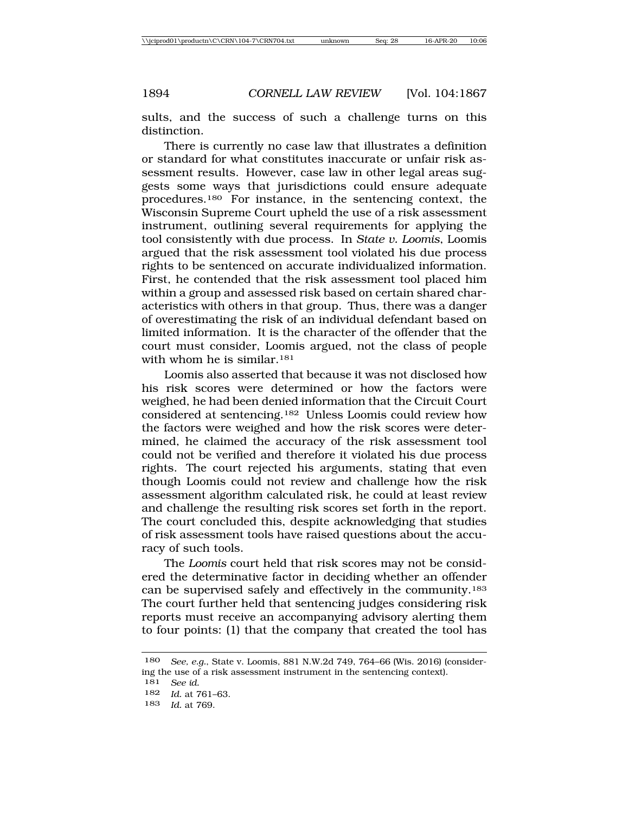sults, and the success of such a challenge turns on this distinction.

There is currently no case law that illustrates a definition or standard for what constitutes inaccurate or unfair risk assessment results. However, case law in other legal areas suggests some ways that jurisdictions could ensure adequate procedures.180 For instance, in the sentencing context, the Wisconsin Supreme Court upheld the use of a risk assessment instrument, outlining several requirements for applying the tool consistently with due process. In *State v. Loomis*, Loomis argued that the risk assessment tool violated his due process rights to be sentenced on accurate individualized information. First, he contended that the risk assessment tool placed him within a group and assessed risk based on certain shared characteristics with others in that group. Thus, there was a danger of overestimating the risk of an individual defendant based on limited information. It is the character of the offender that the court must consider, Loomis argued, not the class of people with whom he is similar.<sup>181</sup>

Loomis also asserted that because it was not disclosed how his risk scores were determined or how the factors were weighed, he had been denied information that the Circuit Court considered at sentencing.182 Unless Loomis could review how the factors were weighed and how the risk scores were determined, he claimed the accuracy of the risk assessment tool could not be verified and therefore it violated his due process rights. The court rejected his arguments, stating that even though Loomis could not review and challenge how the risk assessment algorithm calculated risk, he could at least review and challenge the resulting risk scores set forth in the report. The court concluded this, despite acknowledging that studies of risk assessment tools have raised questions about the accuracy of such tools.

The *Loomis* court held that risk scores may not be considered the determinative factor in deciding whether an offender can be supervised safely and effectively in the community.183 The court further held that sentencing judges considering risk reports must receive an accompanying advisory alerting them to four points: (1) that the company that created the tool has

<sup>180</sup> *See, e.g.*, State v. Loomis, 881 N.W.2d 749, 764–66 (Wis. 2016) (considering the use of a risk assessment instrument in the sentencing context).

<sup>181</sup> *See id.*

<sup>182</sup> *Id.* at 761–63.

<sup>183</sup> *Id.* at 769.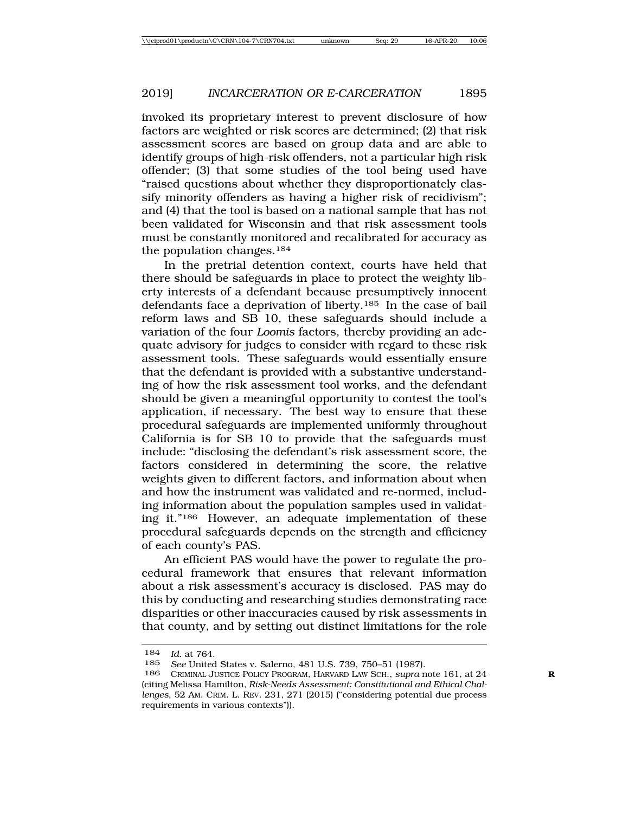invoked its proprietary interest to prevent disclosure of how factors are weighted or risk scores are determined; (2) that risk assessment scores are based on group data and are able to identify groups of high-risk offenders, not a particular high risk offender; (3) that some studies of the tool being used have "raised questions about whether they disproportionately classify minority offenders as having a higher risk of recidivism"; and (4) that the tool is based on a national sample that has not been validated for Wisconsin and that risk assessment tools must be constantly monitored and recalibrated for accuracy as the population changes.184

In the pretrial detention context, courts have held that there should be safeguards in place to protect the weighty liberty interests of a defendant because presumptively innocent defendants face a deprivation of liberty.185 In the case of bail reform laws and SB 10, these safeguards should include a variation of the four *Loomis* factors, thereby providing an adequate advisory for judges to consider with regard to these risk assessment tools. These safeguards would essentially ensure that the defendant is provided with a substantive understanding of how the risk assessment tool works, and the defendant should be given a meaningful opportunity to contest the tool's application, if necessary. The best way to ensure that these procedural safeguards are implemented uniformly throughout California is for SB 10 to provide that the safeguards must include: "disclosing the defendant's risk assessment score, the factors considered in determining the score, the relative weights given to different factors, and information about when and how the instrument was validated and re-normed, including information about the population samples used in validating it."186 However, an adequate implementation of these procedural safeguards depends on the strength and efficiency of each county's PAS.

An efficient PAS would have the power to regulate the procedural framework that ensures that relevant information about a risk assessment's accuracy is disclosed. PAS may do this by conducting and researching studies demonstrating race disparities or other inaccuracies caused by risk assessments in that county, and by setting out distinct limitations for the role

<sup>184</sup> *Id.* at 764.<br>185 *See* United

<sup>185</sup> *See* United States v. Salerno, 481 U.S. 739, 750–51 (1987).

CRIMINAL JUSTICE POLICY PROGRAM, HARVARD LAW SCH., *supra* note 161, at 24 (citing Melissa Hamilton, *Risk-Needs Assessment: Constitutional and Ethical Challenges*, 52 AM. CRIM. L. REV. 231, 271 (2015) ("considering potential due process requirements in various contexts")).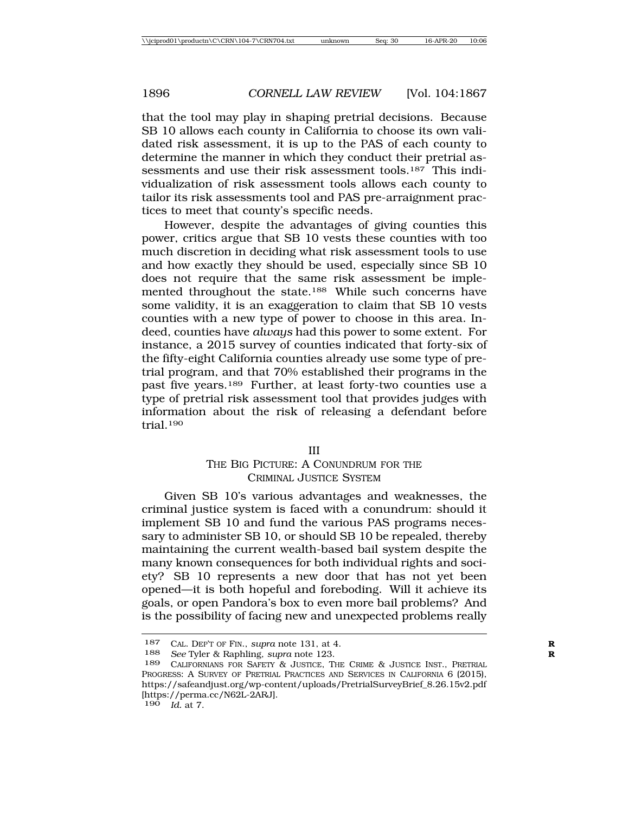that the tool may play in shaping pretrial decisions. Because SB 10 allows each county in California to choose its own validated risk assessment, it is up to the PAS of each county to determine the manner in which they conduct their pretrial assessments and use their risk assessment tools.<sup>187</sup> This individualization of risk assessment tools allows each county to tailor its risk assessments tool and PAS pre-arraignment practices to meet that county's specific needs.

However, despite the advantages of giving counties this power, critics argue that SB 10 vests these counties with too much discretion in deciding what risk assessment tools to use and how exactly they should be used, especially since SB 10 does not require that the same risk assessment be implemented throughout the state.188 While such concerns have some validity, it is an exaggeration to claim that SB 10 vests counties with a new type of power to choose in this area. Indeed, counties have *always* had this power to some extent. For instance, a 2015 survey of counties indicated that forty-six of the fifty-eight California counties already use some type of pretrial program, and that 70% established their programs in the past five years.189 Further, at least forty-two counties use a type of pretrial risk assessment tool that provides judges with information about the risk of releasing a defendant before trial.190

#### III

### THE BIG PICTURE: A CONUNDRUM FOR THE CRIMINAL JUSTICE SYSTEM

Given SB 10's various advantages and weaknesses, the criminal justice system is faced with a conundrum: should it implement SB 10 and fund the various PAS programs necessary to administer SB 10, or should SB 10 be repealed, thereby maintaining the current wealth-based bail system despite the many known consequences for both individual rights and society? SB 10 represents a new door that has not yet been opened—it is both hopeful and foreboding. Will it achieve its goals, or open Pandora's box to even more bail problems? And is the possibility of facing new and unexpected problems really

<sup>187</sup> CAL. DEP'T OF FIN., *supra* note 131, at 4.<br>188 See Tyler & Raphling, supra note 123

<sup>188</sup> *See* Tyler & Raphling, *supra* note 123. **R**

<sup>189</sup> CALIFORNIANS FOR SAFETY & JUSTICE, THE CRIME & JUSTICE INST., PRETRIAL PROGRESS: A SURVEY OF PRETRIAL PRACTICES AND SERVICES IN CALIFORNIA 6 (2015), https://safeandjust.org/wp-content/uploads/PretrialSurveyBrief\_8.26.15v2.pdf [https://perma.cc/N62L-2ARJ].

<sup>190</sup> *Id.* at 7.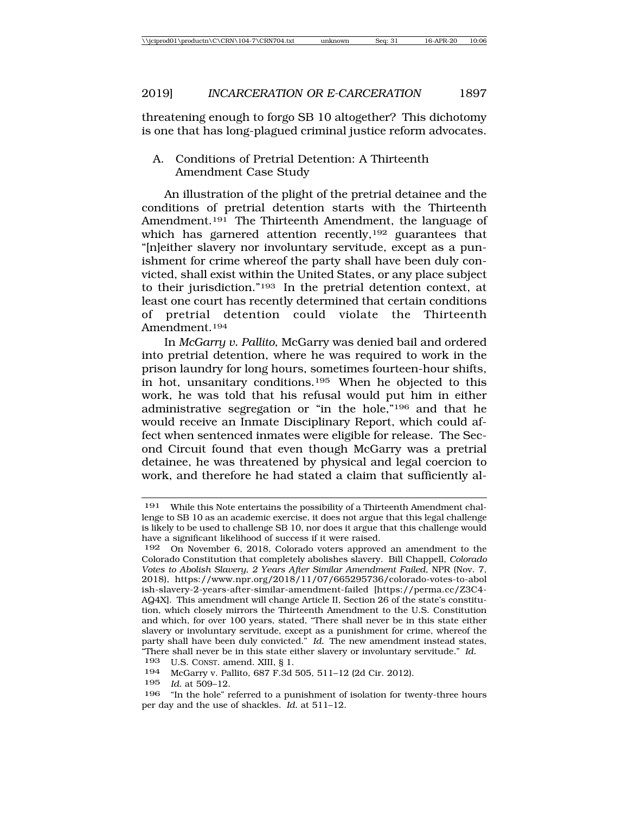threatening enough to forgo SB 10 altogether? This dichotomy is one that has long-plagued criminal justice reform advocates.

A. Conditions of Pretrial Detention: A Thirteenth Amendment Case Study

An illustration of the plight of the pretrial detainee and the conditions of pretrial detention starts with the Thirteenth Amendment.191 The Thirteenth Amendment, the language of which has garnered attention recently,<sup>192</sup> guarantees that "[n]either slavery nor involuntary servitude, except as a punishment for crime whereof the party shall have been duly convicted, shall exist within the United States, or any place subject to their jurisdiction."193 In the pretrial detention context, at least one court has recently determined that certain conditions of pretrial detention could violate the Thirteenth Amendment.194

In *McGarry v. Pallito*, McGarry was denied bail and ordered into pretrial detention, where he was required to work in the prison laundry for long hours, sometimes fourteen-hour shifts, in hot, unsanitary conditions.195 When he objected to this work, he was told that his refusal would put him in either administrative segregation or "in the hole,"196 and that he would receive an Inmate Disciplinary Report, which could affect when sentenced inmates were eligible for release. The Second Circuit found that even though McGarry was a pretrial detainee, he was threatened by physical and legal coercion to work, and therefore he had stated a claim that sufficiently al-

193 U.S. CONST. amend. XIII, § 1.

<sup>191</sup> While this Note entertains the possibility of a Thirteenth Amendment challenge to SB 10 as an academic exercise, it does not argue that this legal challenge is likely to be used to challenge SB 10, nor does it argue that this challenge would have a significant likelihood of success if it were raised.

<sup>192</sup> On November 6, 2018, Colorado voters approved an amendment to the Colorado Constitution that completely abolishes slavery. Bill Chappell, *Colorado Votes to Abolish Slavery, 2 Years After Similar Amendment Failed*, NPR (Nov. 7, 2018), https://www.npr.org/2018/11/07/665295736/colorado-votes-to-abol ish-slavery-2-years-after-similar-amendment-failed [https://perma.cc/Z3C4- AQ4X]. This amendment will change Article II, Section 26 of the state's constitution, which closely mirrors the Thirteenth Amendment to the U.S. Constitution and which, for over 100 years, stated, "There shall never be in this state either slavery or involuntary servitude, except as a punishment for crime, whereof the party shall have been duly convicted." *Id.* The new amendment instead states, "There shall never be in this state either slavery or involuntary servitude." *Id.*

<sup>194</sup> McGarry v. Pallito, 687 F.3d 505, 511–12 (2d Cir. 2012).

<sup>195</sup> *Id.* at 509–12.

<sup>196</sup> "In the hole" referred to a punishment of isolation for twenty-three hours per day and the use of shackles. *Id.* at 511–12.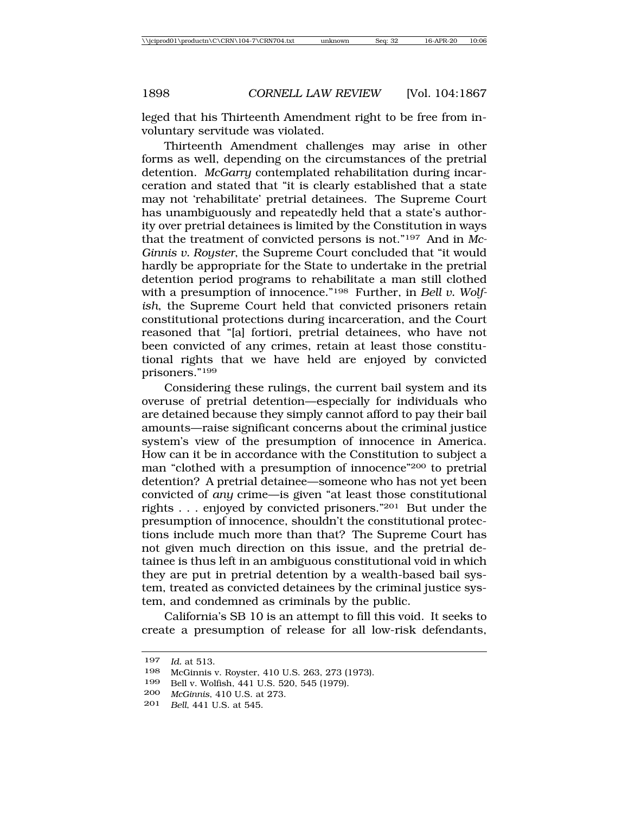leged that his Thirteenth Amendment right to be free from involuntary servitude was violated.

Thirteenth Amendment challenges may arise in other forms as well, depending on the circumstances of the pretrial detention. *McGarry* contemplated rehabilitation during incarceration and stated that "it is clearly established that a state may not 'rehabilitate' pretrial detainees. The Supreme Court has unambiguously and repeatedly held that a state's authority over pretrial detainees is limited by the Constitution in ways that the treatment of convicted persons is not."197 And in *Mc-Ginnis v. Royster*, the Supreme Court concluded that "it would hardly be appropriate for the State to undertake in the pretrial detention period programs to rehabilitate a man still clothed with a presumption of innocence."198 Further, in *Bell v. Wolfish*, the Supreme Court held that convicted prisoners retain constitutional protections during incarceration, and the Court reasoned that "[a] fortiori, pretrial detainees, who have not been convicted of any crimes, retain at least those constitutional rights that we have held are enjoyed by convicted prisoners."199

Considering these rulings, the current bail system and its overuse of pretrial detention—especially for individuals who are detained because they simply cannot afford to pay their bail amounts—raise significant concerns about the criminal justice system's view of the presumption of innocence in America. How can it be in accordance with the Constitution to subject a man "clothed with a presumption of innocence"200 to pretrial detention? A pretrial detainee—someone who has not yet been convicted of *any* crime—is given "at least those constitutional rights . . . enjoyed by convicted prisoners."201 But under the presumption of innocence, shouldn't the constitutional protections include much more than that? The Supreme Court has not given much direction on this issue, and the pretrial detainee is thus left in an ambiguous constitutional void in which they are put in pretrial detention by a wealth-based bail system, treated as convicted detainees by the criminal justice system, and condemned as criminals by the public.

California's SB 10 is an attempt to fill this void. It seeks to create a presumption of release for all low-risk defendants,

<sup>197</sup> *Id.* at 513.

<sup>198</sup> McGinnis v. Royster, 410 U.S. 263, 273 (1973).

<sup>199</sup> Bell v. Wolfish, 441 U.S. 520, 545 (1979).

<sup>200</sup> *McGinnis*, 410 U.S. at 273.

<sup>201</sup> *Bell*, 441 U.S. at 545.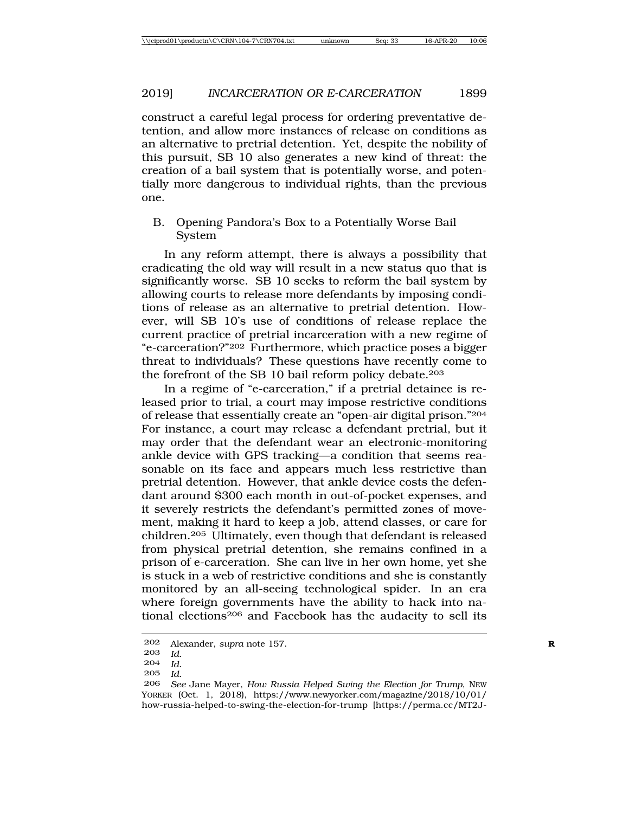construct a careful legal process for ordering preventative detention, and allow more instances of release on conditions as an alternative to pretrial detention. Yet, despite the nobility of this pursuit, SB 10 also generates a new kind of threat: the creation of a bail system that is potentially worse, and potentially more dangerous to individual rights, than the previous one.

B. Opening Pandora's Box to a Potentially Worse Bail System

In any reform attempt, there is always a possibility that eradicating the old way will result in a new status quo that is significantly worse. SB 10 seeks to reform the bail system by allowing courts to release more defendants by imposing conditions of release as an alternative to pretrial detention. However, will SB 10's use of conditions of release replace the current practice of pretrial incarceration with a new regime of "e-carceration?"202 Furthermore, which practice poses a bigger threat to individuals? These questions have recently come to the forefront of the SB 10 bail reform policy debate.<sup>203</sup>

In a regime of "e-carceration," if a pretrial detainee is released prior to trial, a court may impose restrictive conditions of release that essentially create an "open-air digital prison."204 For instance, a court may release a defendant pretrial, but it may order that the defendant wear an electronic-monitoring ankle device with GPS tracking—a condition that seems reasonable on its face and appears much less restrictive than pretrial detention. However, that ankle device costs the defendant around \$300 each month in out-of-pocket expenses, and it severely restricts the defendant's permitted zones of movement, making it hard to keep a job, attend classes, or care for children.205 Ultimately, even though that defendant is released from physical pretrial detention, she remains confined in a prison of e-carceration. She can live in her own home, yet she is stuck in a web of restrictive conditions and she is constantly monitored by an all-seeing technological spider. In an era where foreign governments have the ability to hack into national elections206 and Facebook has the audacity to sell its

<sup>202</sup> Alexander, *supra* note 157. **R**

<sup>203</sup> *Id.*

<sup>204</sup> *Id.*

<sup>205</sup> *Id.*

<sup>206</sup> *See* Jane Mayer, *How Russia Helped Swing the Election for Trump*, NEW YORKER (Oct. 1, 2018), https://www.newyorker.com/magazine/2018/10/01/ how-russia-helped-to-swing-the-election-for-trump [https://perma.cc/MT2J-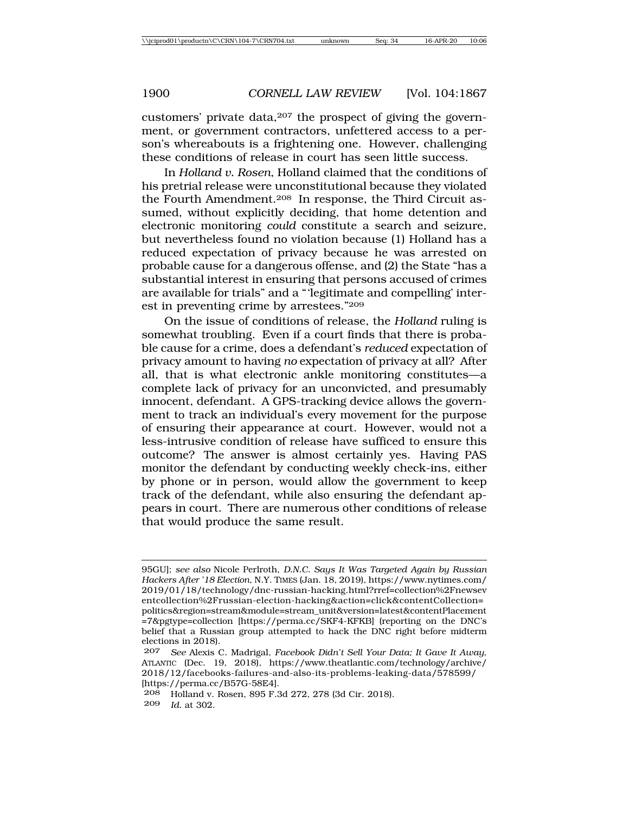customers' private data,<sup>207</sup> the prospect of giving the government, or government contractors, unfettered access to a person's whereabouts is a frightening one. However, challenging these conditions of release in court has seen little success.

In *Holland v. Rosen*, Holland claimed that the conditions of his pretrial release were unconstitutional because they violated the Fourth Amendment.208 In response, the Third Circuit assumed, without explicitly deciding, that home detention and electronic monitoring *could* constitute a search and seizure, but nevertheless found no violation because (1) Holland has a reduced expectation of privacy because he was arrested on probable cause for a dangerous offense, and (2) the State "has a substantial interest in ensuring that persons accused of crimes are available for trials" and a "'legitimate and compelling' interest in preventing crime by arrestees."209

On the issue of conditions of release, the *Holland* ruling is somewhat troubling. Even if a court finds that there is probable cause for a crime, does a defendant's *reduced* expectation of privacy amount to having *no* expectation of privacy at all? After all, that is what electronic ankle monitoring constitutes—a complete lack of privacy for an unconvicted, and presumably innocent, defendant. A GPS-tracking device allows the government to track an individual's every movement for the purpose of ensuring their appearance at court. However, would not a less-intrusive condition of release have sufficed to ensure this outcome? The answer is almost certainly yes. Having PAS monitor the defendant by conducting weekly check-ins, either by phone or in person, would allow the government to keep track of the defendant, while also ensuring the defendant appears in court. There are numerous other conditions of release that would produce the same result.

<sup>95</sup>GU]; *see also* Nicole Perlroth, *D.N.C. Says It Was Targeted Again by Russian Hackers After '18 Election*, N.Y. TIMES (Jan. 18, 2019), https://www.nytimes.com/ 2019/01/18/technology/dnc-russian-hacking.html?rref=collection%2Fnewsev entcollection%2Frussian-election-hacking&action=click&contentCollection= politics&region=stream&module=stream\_unit&version=latest&contentPlacement =7&pgtype=collection [https://perma.cc/SKF4-KFKB] (reporting on the DNC's belief that a Russian group attempted to hack the DNC right before midterm elections in 2018).

<sup>207</sup> *See* Alexis C. Madrigal, *Facebook Didn't Sell Your Data; It Gave It Away*, ATLANTIC (Dec. 19, 2018), https://www.theatlantic.com/technology/archive/ 2018/12/facebooks-failures-and-also-its-problems-leaking-data/578599/ [https://perma.cc/B57G-58E4].

<sup>208</sup> Holland v. Rosen, 895 F.3d 272, 278 (3d Cir. 2018). 209 *Id.* at 302.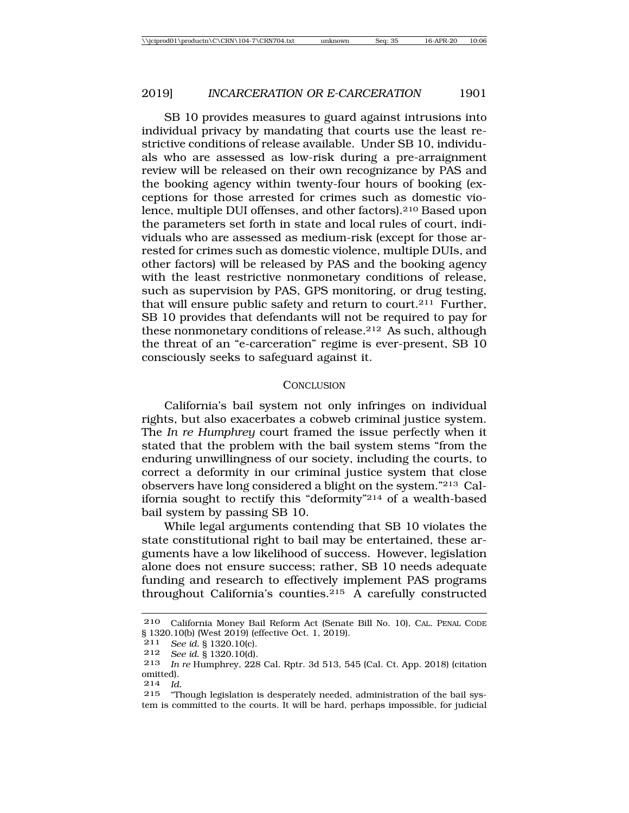SB 10 provides measures to guard against intrusions into individual privacy by mandating that courts use the least restrictive conditions of release available. Under SB 10, individuals who are assessed as low-risk during a pre-arraignment review will be released on their own recognizance by PAS and the booking agency within twenty-four hours of booking (exceptions for those arrested for crimes such as domestic violence, multiple DUI offenses, and other factors).210 Based upon the parameters set forth in state and local rules of court, individuals who are assessed as medium-risk (except for those arrested for crimes such as domestic violence, multiple DUIs, and other factors) will be released by PAS and the booking agency with the least restrictive nonmonetary conditions of release, such as supervision by PAS, GPS monitoring, or drug testing, that will ensure public safety and return to court.211 Further, SB 10 provides that defendants will not be required to pay for these nonmonetary conditions of release.212 As such, although the threat of an "e-carceration" regime is ever-present, SB 10 consciously seeks to safeguard against it.

#### **CONCLUSION**

California's bail system not only infringes on individual rights, but also exacerbates a cobweb criminal justice system. The *In re Humphrey* court framed the issue perfectly when it stated that the problem with the bail system stems "from the enduring unwillingness of our society, including the courts, to correct a deformity in our criminal justice system that close observers have long considered a blight on the system."213 California sought to rectify this "deformity"214 of a wealth-based bail system by passing SB 10.

While legal arguments contending that SB 10 violates the state constitutional right to bail may be entertained, these arguments have a low likelihood of success. However, legislation alone does not ensure success; rather, SB 10 needs adequate funding and research to effectively implement PAS programs throughout California's counties.215 A carefully constructed

<sup>210</sup> California Money Bail Reform Act (Senate Bill No. 10), CAL. PENAL CODE § 1320.10(b) (West 2019) (effective Oct. 1, 2019).<br>211 See id § 1320 10(c)

<sup>211</sup> *See id.* § 1320.10(c).

<sup>212</sup> *See id.* § 1320.10(d).

<sup>213</sup> *In re* Humphrey, 228 Cal. Rptr. 3d 513, 545 (Cal. Ct. App. 2018) (citation omitted).

<sup>214</sup> *Id.*

<sup>215</sup> "Though legislation is desperately needed, administration of the bail system is committed to the courts. It will be hard, perhaps impossible, for judicial